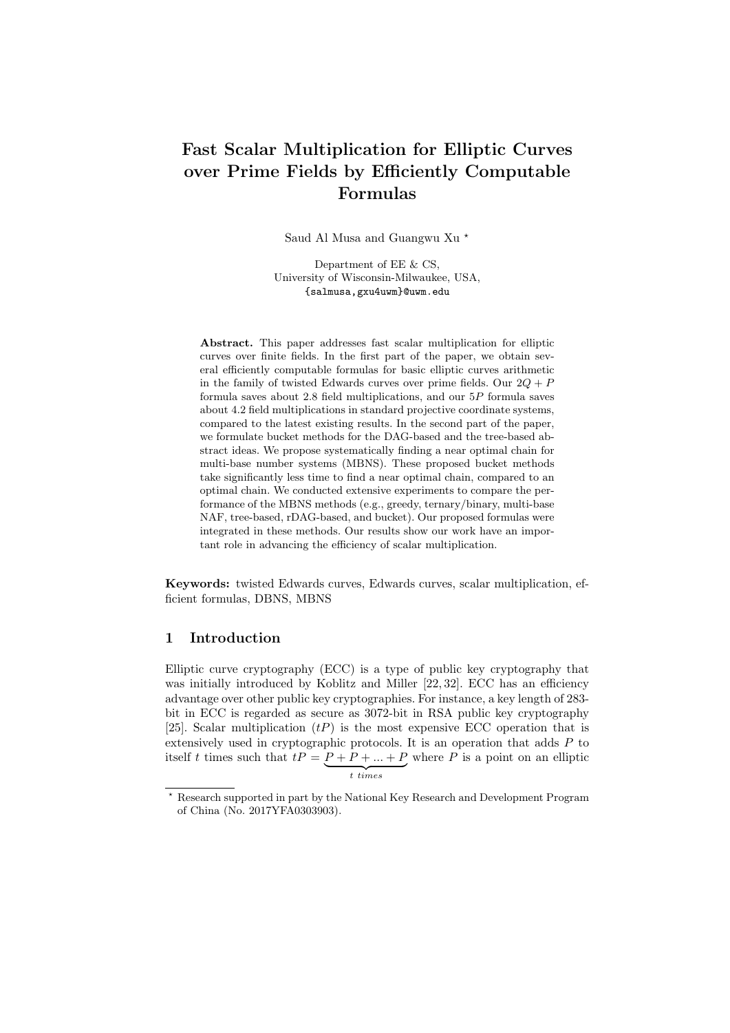# Fast Scalar Multiplication for Elliptic Curves over Prime Fields by Efficiently Computable Formulas

Saud Al Musa and Guangwu Xu<sup>\*</sup>

Department of EE & CS, University of Wisconsin-Milwaukee, USA, {salmusa,gxu4uwm}@uwm.edu

Abstract. This paper addresses fast scalar multiplication for elliptic curves over finite fields. In the first part of the paper, we obtain several efficiently computable formulas for basic elliptic curves arithmetic in the family of twisted Edwards curves over prime fields. Our  $2Q + P$ formula saves about 2.8 field multiplications, and our 5P formula saves about 4.2 field multiplications in standard projective coordinate systems, compared to the latest existing results. In the second part of the paper, we formulate bucket methods for the DAG-based and the tree-based abstract ideas. We propose systematically finding a near optimal chain for multi-base number systems (MBNS). These proposed bucket methods take significantly less time to find a near optimal chain, compared to an optimal chain. We conducted extensive experiments to compare the performance of the MBNS methods (e.g., greedy, ternary/binary, multi-base NAF, tree-based, rDAG-based, and bucket). Our proposed formulas were integrated in these methods. Our results show our work have an important role in advancing the efficiency of scalar multiplication.

Keywords: twisted Edwards curves, Edwards curves, scalar multiplication, efficient formulas, DBNS, MBNS

# 1 Introduction

Elliptic curve cryptography (ECC) is a type of public key cryptography that was initially introduced by Koblitz and Miller [22, 32]. ECC has an efficiency advantage over other public key cryptographies. For instance, a key length of 283 bit in ECC is regarded as secure as 3072-bit in RSA public key cryptography [25]. Scalar multiplication  $(tP)$  is the most expensive ECC operation that is extensively used in cryptographic protocols. It is an operation that adds P to itself t times such that  $tP = P + P + \ldots + P$  ${t}$  times where  $P$  is a point on an elliptic

<sup>?</sup> Research supported in part by the National Key Research and Development Program of China (No. 2017YFA0303903).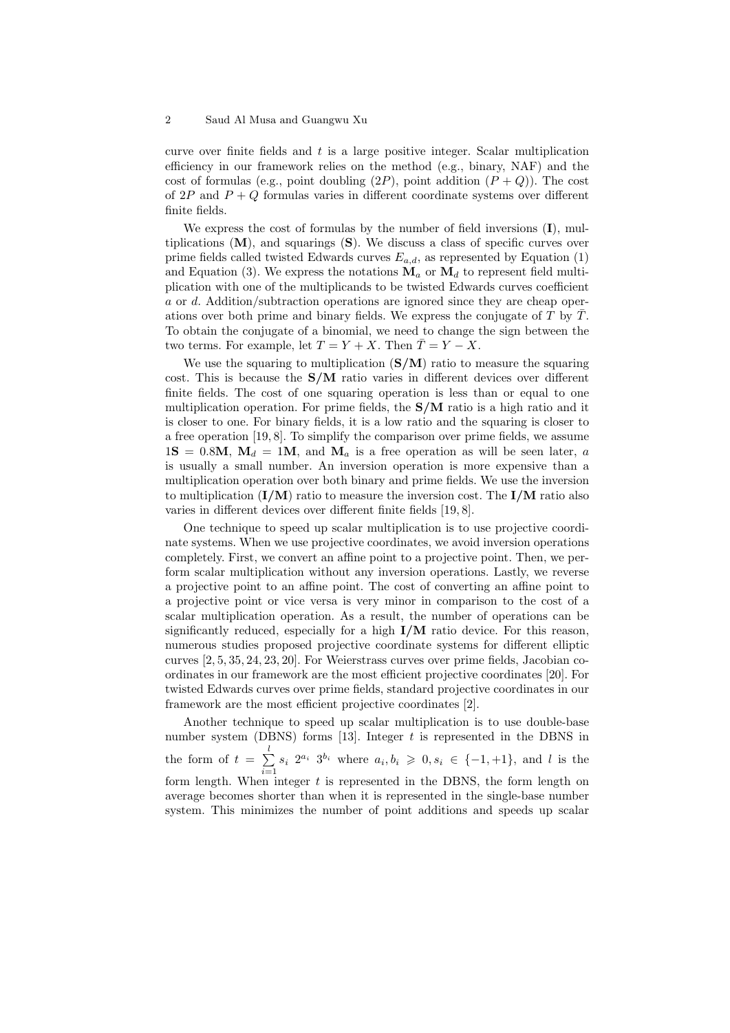curve over finite fields and  $t$  is a large positive integer. Scalar multiplication efficiency in our framework relies on the method (e.g., binary, NAF) and the cost of formulas (e.g., point doubling  $(2P)$ , point addition  $(P+Q)$ ). The cost of  $2P$  and  $P + Q$  formulas varies in different coordinate systems over different finite fields.

We express the cost of formulas by the number of field inversions  $(I)$ , multiplications  $(M)$ , and squarings  $(S)$ . We discuss a class of specific curves over prime fields called twisted Edwards curves  $E_{a,d}$ , as represented by Equation (1) and Equation (3). We express the notations  $\mathbf{M}_a$  or  $\mathbf{M}_d$  to represent field multiplication with one of the multiplicands to be twisted Edwards curves coefficient a or d. Addition/subtraction operations are ignored since they are cheap operations over both prime and binary fields. We express the conjugate of  $T$  by  $\overline{T}$ . To obtain the conjugate of a binomial, we need to change the sign between the two terms. For example, let  $T = Y + X$ . Then  $\overline{T} = Y - X$ .

We use the squaring to multiplication  $(S/M)$  ratio to measure the squaring cost. This is because the S/M ratio varies in different devices over different finite fields. The cost of one squaring operation is less than or equal to one multiplication operation. For prime fields, the  $S/M$  ratio is a high ratio and it is closer to one. For binary fields, it is a low ratio and the squaring is closer to a free operation [19, 8]. To simplify the comparison over prime fields, we assume  $1S = 0.8M$ ,  $M_d = 1M$ , and  $M_a$  is a free operation as will be seen later, a is usually a small number. An inversion operation is more expensive than a multiplication operation over both binary and prime fields. We use the inversion to multiplication  $(I/M)$  ratio to measure the inversion cost. The  $I/M$  ratio also varies in different devices over different finite fields [19, 8].

One technique to speed up scalar multiplication is to use projective coordinate systems. When we use projective coordinates, we avoid inversion operations completely. First, we convert an affine point to a projective point. Then, we perform scalar multiplication without any inversion operations. Lastly, we reverse a projective point to an affine point. The cost of converting an affine point to a projective point or vice versa is very minor in comparison to the cost of a scalar multiplication operation. As a result, the number of operations can be significantly reduced, especially for a high  $I/M$  ratio device. For this reason, numerous studies proposed projective coordinate systems for different elliptic curves [2, 5, 35, 24, 23, 20]. For Weierstrass curves over prime fields, Jacobian coordinates in our framework are the most efficient projective coordinates [20]. For twisted Edwards curves over prime fields, standard projective coordinates in our framework are the most efficient projective coordinates [2].

Another technique to speed up scalar multiplication is to use double-base number system (DBNS) forms [13]. Integer  $t$  is represented in the DBNS in the form of  $t = \sum_{i=1}^{l}$  $\sum_{i=1}^{8} s_i 2^{a_i} 3^{b_i}$  where  $a_i, b_i \geq 0, s_i \in \{-1, +1\}$ , and l is the form length. When integer  $t$  is represented in the DBNS, the form length on average becomes shorter than when it is represented in the single-base number system. This minimizes the number of point additions and speeds up scalar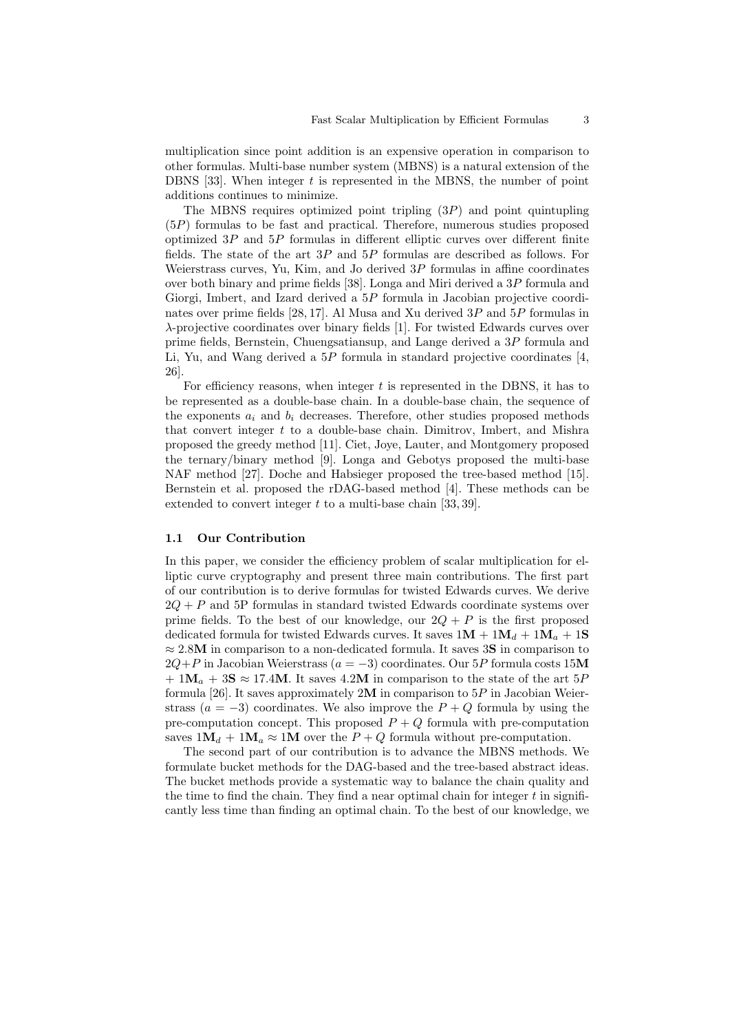multiplication since point addition is an expensive operation in comparison to other formulas. Multi-base number system (MBNS) is a natural extension of the DBNS  $[33]$ . When integer t is represented in the MBNS, the number of point additions continues to minimize.

The MBNS requires optimized point tripling  $(3P)$  and point quintupling (5P) formulas to be fast and practical. Therefore, numerous studies proposed optimized  $3P$  and  $5P$  formulas in different elliptic curves over different finite fields. The state of the art  $3P$  and  $5P$  formulas are described as follows. For Weierstrass curves, Yu, Kim, and Jo derived  $3P$  formulas in affine coordinates over both binary and prime fields [38]. Longa and Miri derived a 3P formula and Giorgi, Imbert, and Izard derived a 5P formula in Jacobian projective coordinates over prime fields [28, 17]. Al Musa and Xu derived 3P and 5P formulas in λ-projective coordinates over binary fields [1]. For twisted Edwards curves over prime fields, Bernstein, Chuengsatiansup, and Lange derived a 3P formula and Li, Yu, and Wang derived a  $5P$  formula in standard projective coordinates [4, 26].

For efficiency reasons, when integer  $t$  is represented in the DBNS, it has to be represented as a double-base chain. In a double-base chain, the sequence of the exponents  $a_i$  and  $b_i$  decreases. Therefore, other studies proposed methods that convert integer t to a double-base chain. Dimitrov, Imbert, and Mishra proposed the greedy method [11]. Ciet, Joye, Lauter, and Montgomery proposed the ternary/binary method [9]. Longa and Gebotys proposed the multi-base NAF method [27]. Doche and Habsieger proposed the tree-based method [15]. Bernstein et al. proposed the rDAG-based method [4]. These methods can be extended to convert integer  $t$  to a multi-base chain [33, 39].

### 1.1 Our Contribution

In this paper, we consider the efficiency problem of scalar multiplication for elliptic curve cryptography and present three main contributions. The first part of our contribution is to derive formulas for twisted Edwards curves. We derive  $2Q + P$  and 5P formulas in standard twisted Edwards coordinate systems over prime fields. To the best of our knowledge, our  $2Q + P$  is the first proposed dedicated formula for twisted Edwards curves. It saves  $1M + 1M_d + 1M_a + 1S$  $\approx 2.8M$  in comparison to a non-dedicated formula. It saves 3S in comparison to  $2Q+P$  in Jacobian Weierstrass ( $a = -3$ ) coordinates. Our 5P formula costs 15M  $+ 1M_a + 3S \approx 17.4M$ . It saves 4.2M in comparison to the state of the art 5P formula [26]. It saves approximately  $2M$  in comparison to  $5P$  in Jacobian Weierstrass ( $a = -3$ ) coordinates. We also improve the  $P + Q$  formula by using the pre-computation concept. This proposed  $P + Q$  formula with pre-computation saves  $1M_d + 1M_a \approx 1M$  over the  $P + Q$  formula without pre-computation.

The second part of our contribution is to advance the MBNS methods. We formulate bucket methods for the DAG-based and the tree-based abstract ideas. The bucket methods provide a systematic way to balance the chain quality and the time to find the chain. They find a near optimal chain for integer  $t$  in significantly less time than finding an optimal chain. To the best of our knowledge, we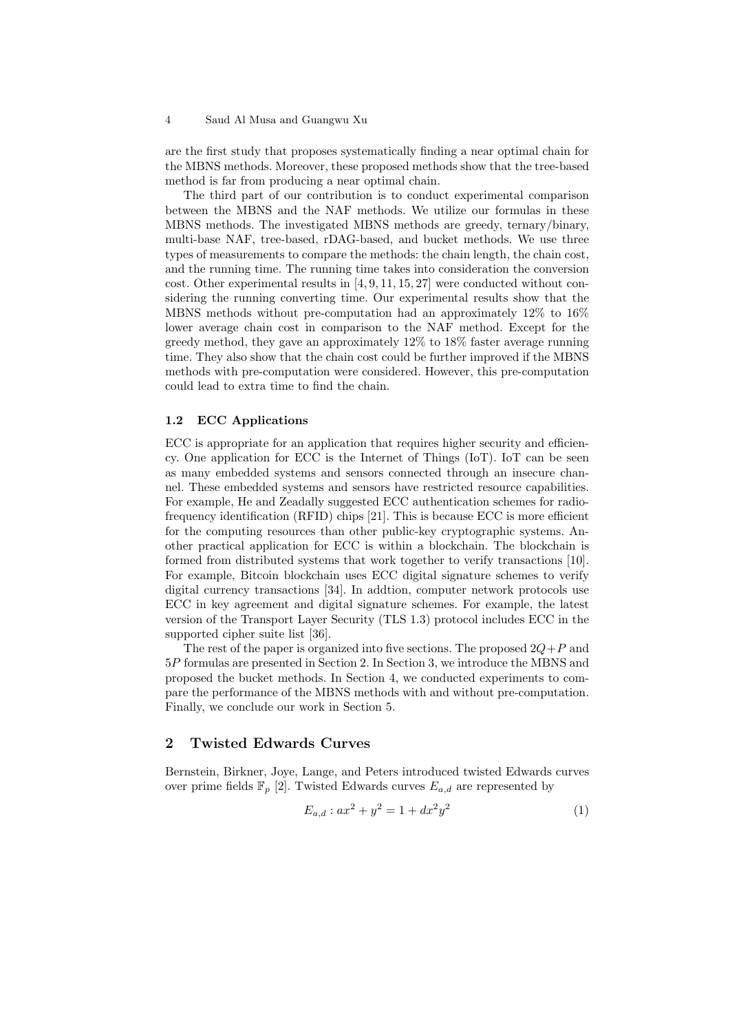are the first study that proposes systematically finding a near optimal chain for the MBNS methods. Moreover, these proposed methods show that the tree-based method is far from producing a near optimal chain.

The third part of our contribution is to conduct experimental comparison between the MBNS and the NAF methods. We utilize our formulas in these MBNS methods. The investigated MBNS methods are greedy, ternary/binary, multi-base NAF, tree-based, rDAG-based, and bucket methods. We use three types of measurements to compare the methods: the chain length, the chain cost, and the running time. The running time takes into consideration the conversion cost. Other experimental results in [4, 9, 11, 15, 27] were conducted without considering the running converting time. Our experimental results show that the MBNS methods without pre-computation had an approximately 12% to 16% lower average chain cost in comparison to the NAF method. Except for the greedy method, they gave an approximately 12% to 18% faster average running time. They also show that the chain cost could be further improved if the MBNS methods with pre-computation were considered. However, this pre-computation could lead to extra time to find the chain.

## 1.2 ECC Applications

ECC is appropriate for an application that requires higher security and efficiency. One application for ECC is the Internet of Things (IoT). IoT can be seen as many embedded systems and sensors connected through an insecure channel. These embedded systems and sensors have restricted resource capabilities. For example, He and Zeadally suggested ECC authentication schemes for radiofrequency identification (RFID) chips [21]. This is because ECC is more efficient for the computing resources than other public-key cryptographic systems. Another practical application for ECC is within a blockchain. The blockchain is formed from distributed systems that work together to verify transactions [10]. For example, Bitcoin blockchain uses ECC digital signature schemes to verify digital currency transactions [34]. In addtion, computer network protocols use ECC in key agreement and digital signature schemes. For example, the latest version of the Transport Layer Security (TLS 1.3) protocol includes ECC in the supported cipher suite list [36].

The rest of the paper is organized into five sections. The proposed  $2Q+P$  and 5P formulas are presented in Section 2. In Section 3, we introduce the MBNS and proposed the bucket methods. In Section 4, we conducted experiments to compare the performance of the MBNS methods with and without pre-computation. Finally, we conclude our work in Section 5.

# 2 Twisted Edwards Curves

Bernstein, Birkner, Joye, Lange, and Peters introduced twisted Edwards curves over prime fields  $\mathbb{F}_p$  [2]. Twisted Edwards curves  $E_{a,d}$  are represented by

$$
E_{a,d}: ax^2 + y^2 = 1 + dx^2y^2 \tag{1}
$$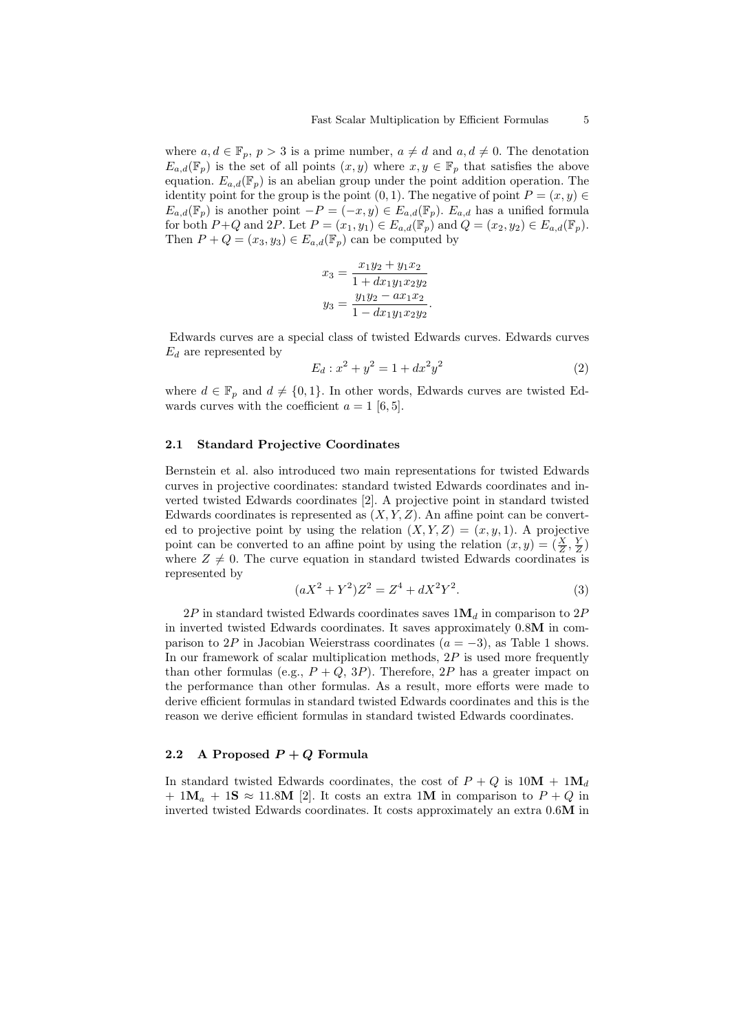where  $a, d \in \mathbb{F}_p$ ,  $p > 3$  is a prime number,  $a \neq d$  and  $a, d \neq 0$ . The denotation  $E_{a,d}(\mathbb{F}_p)$  is the set of all points  $(x, y)$  where  $x, y \in \mathbb{F}_p$  that satisfies the above equation.  $E_{a,d}(\mathbb{F}_p)$  is an abelian group under the point addition operation. The identity point for the group is the point  $(0, 1)$ . The negative of point  $P = (x, y) \in$  $E_{a,d}(\mathbb{F}_p)$  is another point  $-P = (-x, y) \in E_{a,d}(\mathbb{F}_p)$ .  $E_{a,d}$  has a unified formula for both  $P+Q$  and  $2P$ . Let  $P=(x_1,y_1)\in E_{a,d}(\mathbb{F}_p)$  and  $Q=(x_2,y_2)\in E_{a,d}(\mathbb{F}_p)$ . Then  $P + Q = (x_3, y_3) \in E_{a,d}(\mathbb{F}_p)$  can be computed by

$$
x_3 = \frac{x_1y_2 + y_1x_2}{1 + dx_1y_1x_2y_2}
$$
  

$$
y_3 = \frac{y_1y_2 - ax_1x_2}{1 - dx_1y_1x_2y_2}.
$$

Edwards curves are a special class of twisted Edwards curves. Edwards curves  $E_d$  are represented by

$$
E_d: x^2 + y^2 = 1 + dx^2 y^2 \tag{2}
$$

where  $d \in \mathbb{F}_p$  and  $d \neq \{0, 1\}$ . In other words, Edwards curves are twisted Edwards curves with the coefficient  $a = 1$  [6, 5].

## 2.1 Standard Projective Coordinates

Bernstein et al. also introduced two main representations for twisted Edwards curves in projective coordinates: standard twisted Edwards coordinates and inverted twisted Edwards coordinates [2]. A projective point in standard twisted Edwards coordinates is represented as  $(X, Y, Z)$ . An affine point can be converted to projective point by using the relation  $(X, Y, Z) = (x, y, 1)$ . A projective point can be converted to an affine point by using the relation  $(x, y) = (\frac{X}{Z}, \frac{Y}{Z})$ where  $Z \neq 0$ . The curve equation in standard twisted Edwards coordinates is represented by

$$
(aX2 + Y2)Z2 = Z4 + dX2Y2.
$$
\n(3)

 $2P$  in standard twisted Edwards coordinates saves  $1M_d$  in comparison to  $2P$ in inverted twisted Edwards coordinates. It saves approximately 0.8M in comparison to 2P in Jacobian Weierstrass coordinates  $(a = -3)$ , as Table 1 shows. In our framework of scalar multiplication methods,  $2P$  is used more frequently than other formulas (e.g.,  $P + Q$ , 3P). Therefore, 2P has a greater impact on the performance than other formulas. As a result, more efforts were made to derive efficient formulas in standard twisted Edwards coordinates and this is the reason we derive efficient formulas in standard twisted Edwards coordinates.

## 2.2 A Proposed  $P + Q$  Formula

In standard twisted Edwards coordinates, the cost of  $P + Q$  is  $10M + 1M_d$ +  $1\mathbf{M}_a$  +  $1\mathbf{S} \approx 11.8\mathbf{M}$  [2]. It costs an extra 1M in comparison to  $P + Q$  in inverted twisted Edwards coordinates. It costs approximately an extra 0.6M in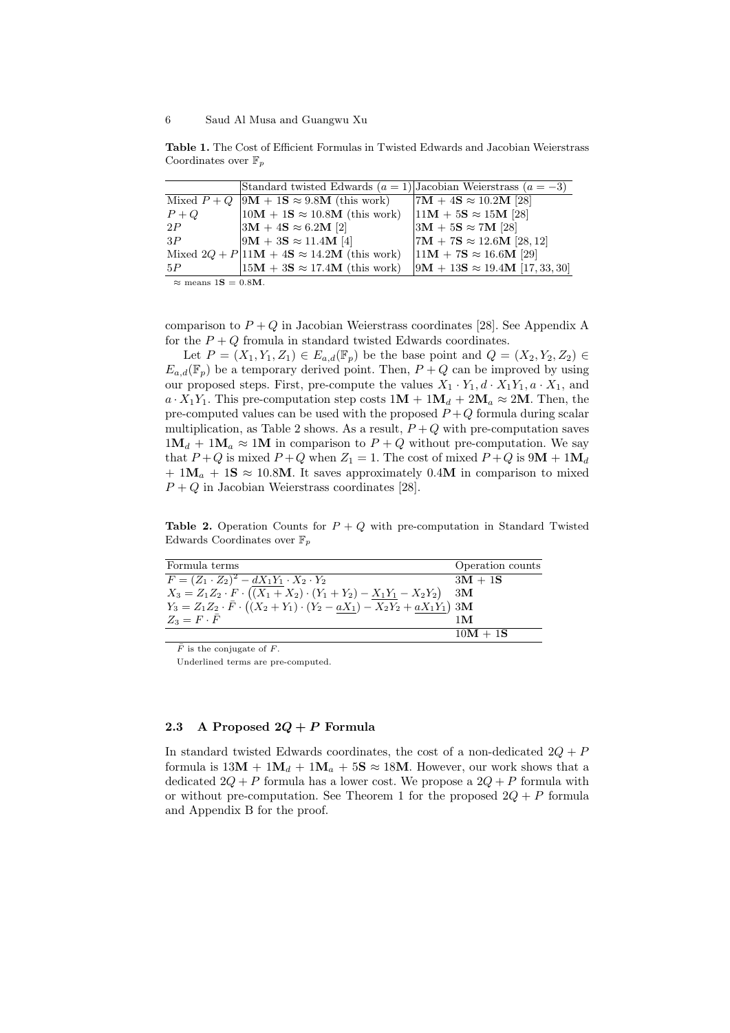Table 1. The Cost of Efficient Formulas in Twisted Edwards and Jacobian Weierstrass Coordinates over  $\mathbb{F}_p$ 

|       | Standard twisted Edwards $(a = 1)$ Jacobian Weierstrass $(a = -3)$ |                                        |
|-------|--------------------------------------------------------------------|----------------------------------------|
|       | Mixed $P + Q$  9M + 1S $\approx 9.8$ M (this work)                 | $ 7M + 4S \approx 10.2M$ [28]          |
| $P+Q$ | $10M + 1S \approx 10.8M$ (this work)                               | $11M + 5S \approx 15M$ [28]            |
| 2P    | $ 3M + 4S \approx 6.2M$ [2]                                        | $ 3M + 5S \approx 7M$ [28]             |
| 3P    | $ 9M + 3S \approx 11.4M$ [4]                                       | $7M + 7S \approx 12.6M$ [28, 12]       |
|       | Mixed $2Q + P 11M + 4S \approx 14.2M$ (this work)                  | $11M + 7S \approx 16.6M$ [29]          |
| 5P    | $15M + 3S \approx 17.4M$ (this work)                               | $ 9M + 13S \approx 19.4M$ [17, 33, 30] |
|       |                                                                    |                                        |

 $\approx$  means  $1S = 0.8M$ .

comparison to  $P + Q$  in Jacobian Weierstrass coordinates [28]. See Appendix A for the  $P + Q$  fromula in standard twisted Edwards coordinates.

Let  $P = (X_1, Y_1, Z_1) \in E_{a,d}(\mathbb{F}_p)$  be the base point and  $Q = (X_2, Y_2, Z_2) \in$  $E_{a,d}(\mathbb{F}_p)$  be a temporary derived point. Then,  $P+Q$  can be improved by using our proposed steps. First, pre-compute the values  $X_1 \cdot Y_1, d \cdot X_1Y_1, a \cdot X_1$ , and  $a \cdot X_1 Y_1$ . This pre-computation step costs  $1M + 1M_d + 2M_a \approx 2M$ . Then, the pre-computed values can be used with the proposed  $P+Q$  formula during scalar multiplication, as Table 2 shows. As a result,  $P + Q$  with pre-computation saves  $1\mathbf{M}_d + 1\mathbf{M}_a \approx 1\mathbf{M}$  in comparison to  $P + Q$  without pre-computation. We say that  $P+Q$  is mixed  $P+Q$  when  $Z_1 = 1$ . The cost of mixed  $P+Q$  is  $9M + 1M_d$  $+ 1M_a + 1S \approx 10.8M$ . It saves approximately 0.4M in comparison to mixed  $P + Q$  in Jacobian Weierstrass coordinates [28].

**Table 2.** Operation Counts for  $P + Q$  with pre-computation in Standard Twisted Edwards Coordinates over  $\mathbb{F}_p$ 

| Formula terms                                                                                         | Operation counts |
|-------------------------------------------------------------------------------------------------------|------------------|
| $F = (Z_1 \cdot Z_2)^2 - dX_1Y_1 \cdot X_2 \cdot Y_2$                                                 | $3M + 1S$        |
| $X_3 = Z_1 Z_2 \cdot F \cdot ((X_1 + X_2) \cdot (Y_1 + Y_2) - \underline{X_1 Y_1} - X_2 Y_2)$         | $3\mathbf{M}$    |
| $Y_3 = Z_1 Z_2 \cdot \bar{F} \cdot (\lambda X_2 + Y_1) \cdot (Y_2 - a X_1) - X_2 Y_2 + a X_1 Y_1)$ 3M |                  |
| $Z_3 = F \cdot \bar{F}$                                                                               | 1 M              |
|                                                                                                       | $10M + 1S$       |

 $\overline{F}$  is the conjugate of F.

Underlined terms are pre-computed.

### 2.3 A Proposed  $2Q + P$  Formula

In standard twisted Edwards coordinates, the cost of a non-dedicated  $2Q + P$ formula is  $13M + 1M_d + 1M_a + 5S \approx 18M$ . However, our work shows that a dedicated  $2Q + P$  formula has a lower cost. We propose a  $2Q + P$  formula with or without pre-computation. See Theorem 1 for the proposed  $2Q + P$  formula and Appendix B for the proof.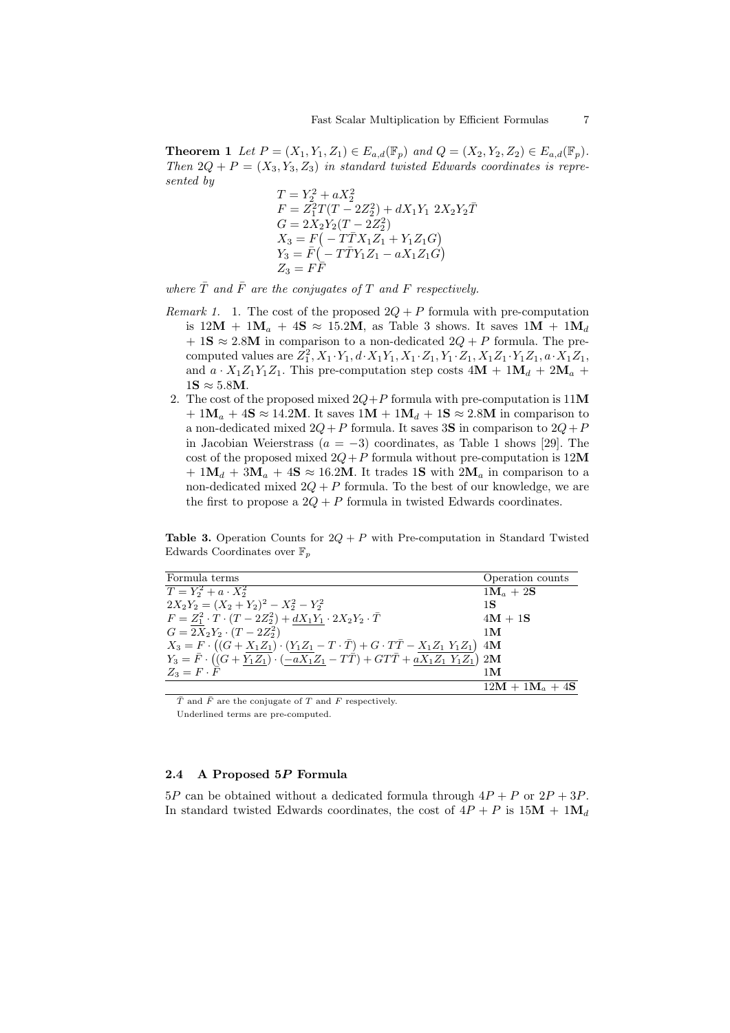**Theorem 1** Let  $P = (X_1, Y_1, Z_1) \in E_{a,d}(\mathbb{F}_p)$  and  $Q = (X_2, Y_2, Z_2) \in E_{a,d}(\mathbb{F}_p)$ . Then  $2Q + P = (X_3, Y_3, Z_3)$  in standard twisted Edwards coordinates is represented by

$$
T = Y_2^2 + aX_2^2
$$
  
\n
$$
F = Z_1^2T(T - 2Z_2^2) + dX_1Y_1 2X_2Y_2\overline{T}
$$
  
\n
$$
G = 2X_2Y_2(T - 2Z_2^2)
$$
  
\n
$$
X_3 = F(-T\overline{T}X_1Z_1 + Y_1Z_1G)
$$
  
\n
$$
Y_3 = \overline{F}(-T\overline{T}Y_1Z_1 - aX_1Z_1G)
$$
  
\n
$$
Z_3 = FF
$$

where  $\overline{T}$  and  $\overline{F}$  are the conjugates of T and F respectively.

- Remark 1. 1. The cost of the proposed  $2Q + P$  formula with pre-computation is  $12M + 1M_a + 4S \approx 15.2M$ , as Table 3 shows. It saves  $1M + 1M_d$ + 1S  $\approx$  2.8M in comparison to a non-dedicated  $2Q + P$  formula. The precomputed values are  $Z_1^2$ ,  $X_1 \cdot Y_1$ ,  $d \cdot X_1 Y_1$ ,  $X_1 \cdot Z_1$ ,  $Y_1 \cdot Z_1$ ,  $X_1 Z_1 \cdot Y_1 Z_1$ ,  $a \cdot X_1 Z_1$ , and  $a \cdot X_1 Z_1 Y_1 Z_1$ . This pre-computation step costs  $4M + 1M_d + 2M_a$  +  $1S \approx 5.8M$ .
- 2. The cost of the proposed mixed  $2Q+P$  formula with pre-computation is 11M  $+ 1M_a + 4S \approx 14.2M$ . It saves  $1M + 1M_d + 1S \approx 2.8M$  in comparison to a non-dedicated mixed  $2Q+P$  formula. It saves 3S in comparison to  $2Q+P$ in Jacobian Weierstrass ( $a = -3$ ) coordinates, as Table 1 shows [29]. The cost of the proposed mixed  $2Q+P$  formula without pre-computation is  $12M$ +  $1\mathbf{M}_d + 3\mathbf{M}_a + 4\mathbf{S} \approx 16.2\mathbf{M}$ . It trades 1S with  $2\mathbf{M}_a$  in comparison to a non-dedicated mixed  $2Q + P$  formula. To the best of our knowledge, we are the first to propose a  $2Q + P$  formula in twisted Edwards coordinates.

**Table 3.** Operation Counts for  $2Q + P$  with Pre-computation in Standard Twisted Edwards Coordinates over  $\mathbb{F}_p$ 

| Formula terms                                                                                                                                        | Operation counts              |
|------------------------------------------------------------------------------------------------------------------------------------------------------|-------------------------------|
| $T = Y_2^2 + a \cdot X_2^2$                                                                                                                          | $1\mathbf{M}_a + 2\mathbf{S}$ |
| $2X_2Y_2 = (X_2 + Y_2)^2 - X_2^2 - Y_2^2$                                                                                                            | 1S                            |
| $F = Z_1^2 \cdot T \cdot (T - 2Z_2^2) + dX_1Y_1 \cdot 2X_2Y_2 \cdot \bar{T}$                                                                         | $4M + 1S$                     |
| $G = 2X_2Y_2 \cdot (T - 2Z_2^2)$                                                                                                                     | 1 <sub>M</sub>                |
| $X_3 = F \cdot ((G + X_1 Z_1) \cdot (Y_1 Z_1 - T \cdot \overline{T}) + G \cdot T \overline{T} - X_1 Z_1 Y_1 Z_1)$ 4M                                 |                               |
| $Y_3 = \overline{F} \cdot ((G + \overline{Y_1 Z_1}) \cdot (-\overline{aX_1} Z_1 - T\overline{T}) + GT\overline{T} + \overline{aX_1 Z_1 Y_1 Z_1})$ 2M |                               |
| $Z_3 = F \cdot \overline{F}$                                                                                                                         | 1 <sub>M</sub>                |
|                                                                                                                                                      | $12M + 1M_a + 4S$             |

 $\overline{T}$  and  $\overline{F}$  are the conjugate of T and F respectively.

Underlined terms are pre-computed.

# 2.4 A Proposed 5P Formula

 $5P$  can be obtained without a dedicated formula through  $4P + P$  or  $2P + 3P$ . In standard twisted Edwards coordinates, the cost of  $4P + P$  is  $15M + 1M_d$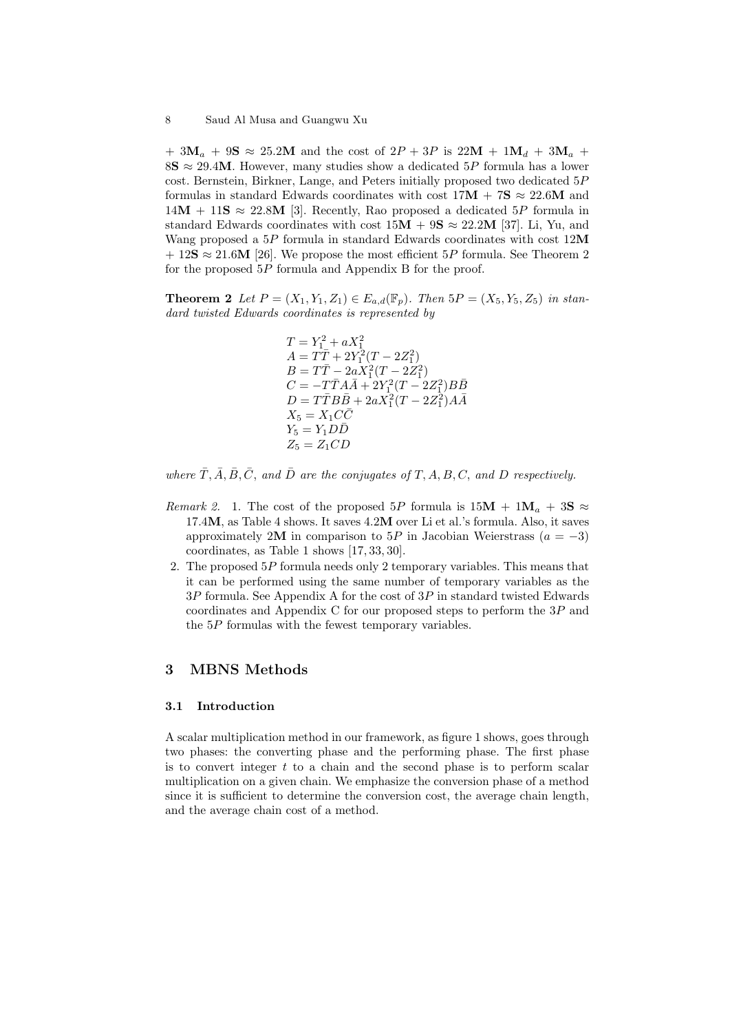+ 3 $M_a$  + 9 $S \approx 25.2M$  and the cost of  $2P + 3P$  is  $22M + 1M_d + 3M_a$  + 8S  $\approx$  29.4M. However, many studies show a dedicated 5P formula has a lower cost. Bernstein, Birkner, Lange, and Peters initially proposed two dedicated 5P formulas in standard Edwards coordinates with cost  $17M + 7S \approx 22.6M$  and  $14M + 11S \approx 22.8M$  [3]. Recently, Rao proposed a dedicated 5P formula in standard Edwards coordinates with cost  $15M + 9S \approx 22.2M$  [37]. Li, Yu, and Wang proposed a  $5P$  formula in standard Edwards coordinates with cost  $12M$  $+ 12S \approx 21.6M$  [26]. We propose the most efficient 5P formula. See Theorem 2 for the proposed 5P formula and Appendix B for the proof.

**Theorem 2** Let  $P = (X_1, Y_1, Z_1) \in E_{a,d}(\mathbb{F}_p)$ . Then  $5P = (X_5, Y_5, Z_5)$  in standard twisted Edwards coordinates is represented by

> $T = Y_1^2 + aX_1^2$ <br>  $A = T\overline{T} + 2Y_1^2(T - 2Z_1^2)$  $B = T\bar{T} - 2aX_1^2(T - 2Z_1^2)$  $C = -T\bar{T}A\bar{A} + 2Y_1^2(T - 2Z_1^2)B\bar{B}$  $D = T\bar{T}B\bar{B} + 2aX_1^2(T - 2Z_1^2)A\bar{A}$  $X_5 = X_1 C \overline{C}$  $Y_5 = Y_1 D\overline{D}$  $Z_5 = Z_1CD$

where  $\overline{T}, \overline{A}, \overline{B}, \overline{C}$ , and  $\overline{D}$  are the conjugates of T, A, B, C, and D respectively.

- Remark 2. 1. The cost of the proposed 5P formula is  $15M + 1M_a + 3S \approx$ 17.4M, as Table 4 shows. It saves 4.2M over Li et al.'s formula. Also, it saves approximately 2M in comparison to 5P in Jacobian Weierstrass  $(a = -3)$ coordinates, as Table 1 shows [17, 33, 30].
- 2. The proposed  $5P$  formula needs only 2 temporary variables. This means that it can be performed using the same number of temporary variables as the  $3P$  formula. See Appendix A for the cost of  $3P$  in standard twisted Edwards coordinates and Appendix C for our proposed steps to perform the  $3P$  and the  $5P$  formulas with the fewest temporary variables.

# 3 MBNS Methods

#### 3.1 Introduction

A scalar multiplication method in our framework, as figure 1 shows, goes through two phases: the converting phase and the performing phase. The first phase is to convert integer  $t$  to a chain and the second phase is to perform scalar multiplication on a given chain. We emphasize the conversion phase of a method since it is sufficient to determine the conversion cost, the average chain length, and the average chain cost of a method.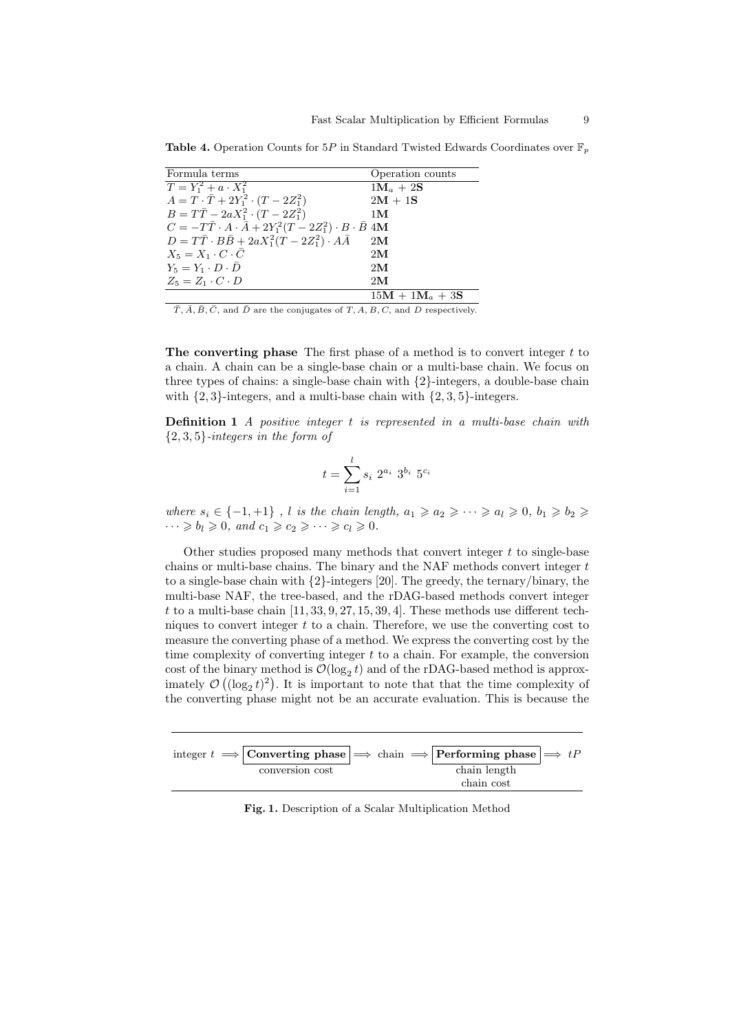| Formula terms                                                                    | Operation counts              |
|----------------------------------------------------------------------------------|-------------------------------|
| $T = Y_1^2 + a \cdot X_1^2$                                                      | $1\mathbf{M}_a + 2\mathbf{S}$ |
| $A = T \cdot \bar{T} + 2Y_1^2 \cdot (T - 2Z_1^2)$                                | $2M + 1S$                     |
| $B = T\bar{T} - 2aX_1^2 \cdot (T - 2Z_1^2)$                                      | 1 <sub>M</sub>                |
| $C = -T\bar{T} \cdot A \cdot \bar{A} + 2Y_1^2(T - 2Z_1^2) \cdot B \cdot \bar{B}$ | 4M                            |
| $D = T\bar{T} \cdot B\bar{B} + 2aX_1^2(T - 2Z_1^2) \cdot A\bar{A}$               | 2M                            |
| $X_5 = X_1 \cdot C \cdot \overline{C}$                                           | 2M                            |
| $Y_5 = Y_1 \cdot D \cdot \overline{D}$                                           | 2M                            |
| $Z_5 = Z_1 \cdot C \cdot D$                                                      | 2M                            |
|                                                                                  | $15M + 1M_a + 3S$             |

**Table 4.** Operation Counts for 5P in Standard Twisted Edwards Coordinates over  $\mathbb{F}_p$ 

 $\overline{T}, \overline{A}, \overline{B}, \overline{C}$ , and  $\overline{D}$  are the conjugates of  $T, A, B, C$ , and  $D$  respectively.

The converting phase The first phase of a method is to convert integer  $t$  to a chain. A chain can be a single-base chain or a multi-base chain. We focus on three types of chains: a single-base chain with {2}-integers, a double-base chain with  $\{2, 3\}$ -integers, and a multi-base chain with  $\{2, 3, 5\}$ -integers.

Definition 1 A positive integer t is represented in a multi-base chain with  $\{2,3,5\}$ -integers in the form of

$$
t = \sum_{i=1}^{l} s_i \; 2^{a_i} \; 3^{b_i} \; 5^{c_i}
$$

where  $s_i \in \{-1, +1\}$ , l is the chain length,  $a_1 \geq a_2 \geq \cdots \geq a_l \geq 0$ ,  $b_1 \geq b_2 \geq \cdots$  $\cdots \geqslant b_l \geqslant 0$ , and  $c_1 \geqslant c_2 \geqslant \cdots \geqslant c_l \geqslant 0$ .

Other studies proposed many methods that convert integer  $t$  to single-base chains or multi-base chains. The binary and the NAF methods convert integer  $t$ to a single-base chain with  $\{2\}$ -integers [20]. The greedy, the ternary/binary, the multi-base NAF, the tree-based, and the rDAG-based methods convert integer t to a multi-base chain  $[11, 33, 9, 27, 15, 39, 4]$ . These methods use different techniques to convert integer  $t$  to a chain. Therefore, we use the converting cost to measure the converting phase of a method. We express the converting cost by the time complexity of converting integer  $t$  to a chain. For example, the conversion cost of the binary method is  $\mathcal{O}(\log_2 t)$  and of the rDAG-based method is approximately  $\mathcal{O}\left((\log_2 t)^2\right)$ . It is important to note that that the time complexity of the converting phase might not be an accurate evaluation. This is because the

|                 |  | integer $t \implies$ Converting phase $\implies$ chain $\implies$ Performing phase $\implies tP$ |  |
|-----------------|--|--------------------------------------------------------------------------------------------------|--|
| conversion cost |  | chain length                                                                                     |  |
|                 |  | chain cost                                                                                       |  |

Fig. 1. Description of a Scalar Multiplication Method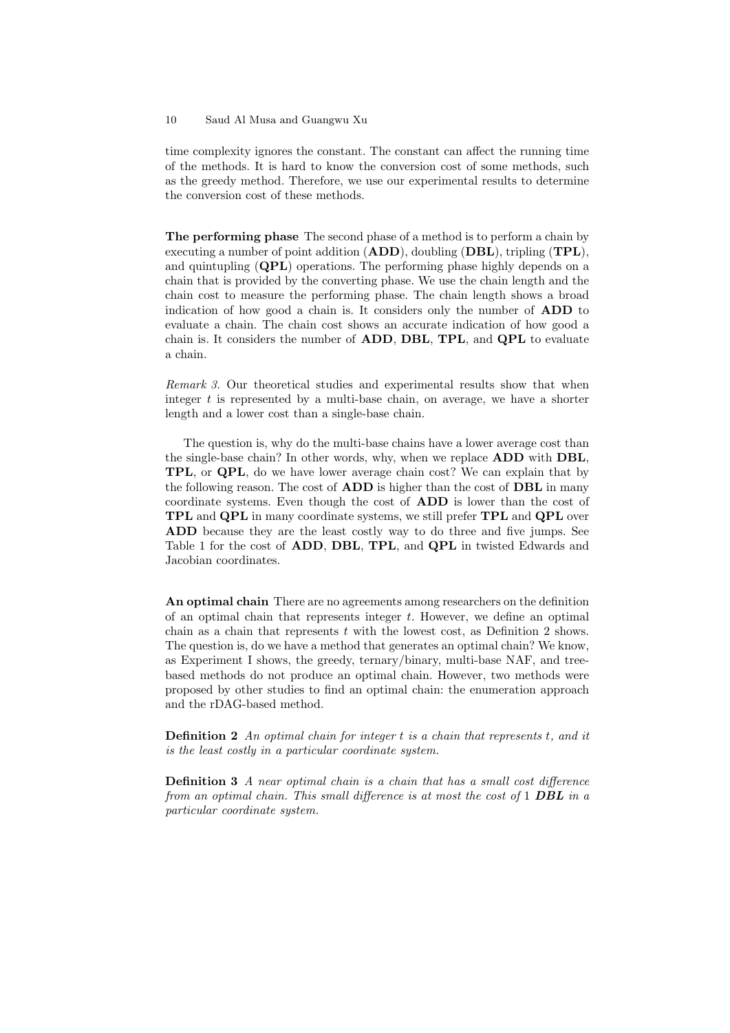time complexity ignores the constant. The constant can affect the running time of the methods. It is hard to know the conversion cost of some methods, such as the greedy method. Therefore, we use our experimental results to determine the conversion cost of these methods.

The performing phase The second phase of a method is to perform a chain by executing a number of point addition  $(ADD)$ , doubling  $(DBL)$ , tripling  $(TPL)$ , and quintupling (QPL) operations. The performing phase highly depends on a chain that is provided by the converting phase. We use the chain length and the chain cost to measure the performing phase. The chain length shows a broad indication of how good a chain is. It considers only the number of ADD to evaluate a chain. The chain cost shows an accurate indication of how good a chain is. It considers the number of ADD, DBL, TPL, and QPL to evaluate a chain.

Remark 3. Our theoretical studies and experimental results show that when integer  $t$  is represented by a multi-base chain, on average, we have a shorter length and a lower cost than a single-base chain.

The question is, why do the multi-base chains have a lower average cost than the single-base chain? In other words, why, when we replace ADD with DBL, TPL, or QPL, do we have lower average chain cost? We can explain that by the following reason. The cost of **ADD** is higher than the cost of **DBL** in many coordinate systems. Even though the cost of ADD is lower than the cost of TPL and QPL in many coordinate systems, we still prefer TPL and QPL over ADD because they are the least costly way to do three and five jumps. See Table 1 for the cost of ADD, DBL, TPL, and QPL in twisted Edwards and Jacobian coordinates.

An optimal chain There are no agreements among researchers on the definition of an optimal chain that represents integer t. However, we define an optimal chain as a chain that represents  $t$  with the lowest cost, as Definition 2 shows. The question is, do we have a method that generates an optimal chain? We know, as Experiment I shows, the greedy, ternary/binary, multi-base NAF, and treebased methods do not produce an optimal chain. However, two methods were proposed by other studies to find an optimal chain: the enumeration approach and the rDAG-based method.

**Definition 2** An optimal chain for integer  $t$  is a chain that represents  $t$ , and it is the least costly in a particular coordinate system.

Definition 3 A near optimal chain is a chain that has a small cost difference from an optimal chain. This small difference is at most the cost of  $1$  DBL in a particular coordinate system.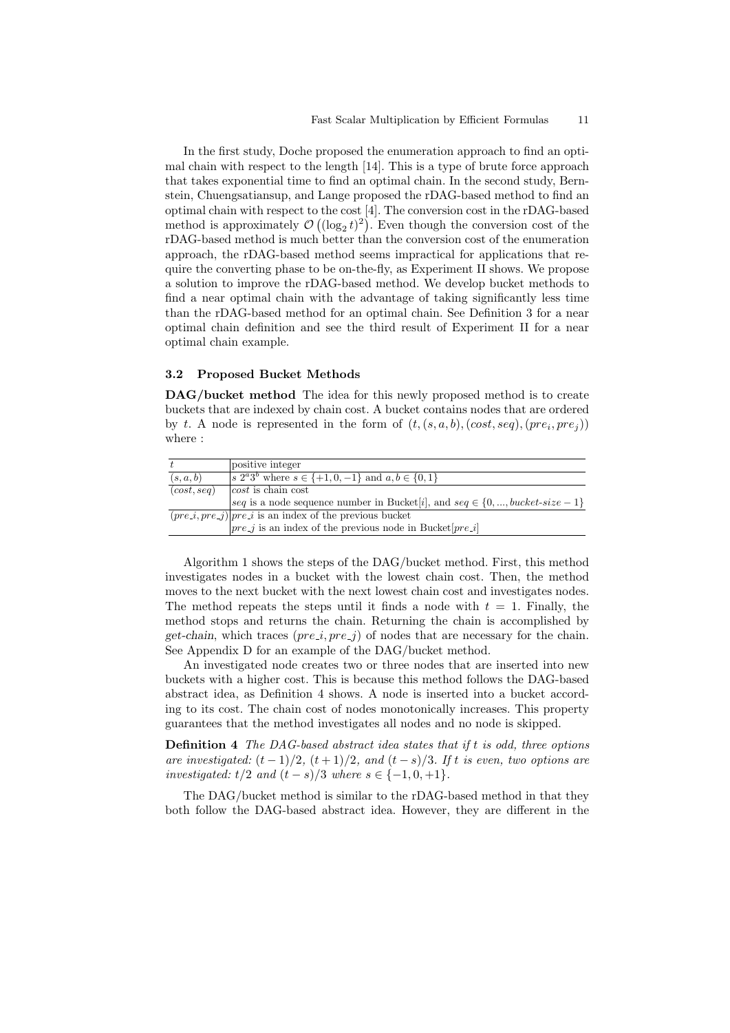In the first study, Doche proposed the enumeration approach to find an optimal chain with respect to the length [14]. This is a type of brute force approach that takes exponential time to find an optimal chain. In the second study, Bernstein, Chuengsatiansup, and Lange proposed the rDAG-based method to find an optimal chain with respect to the cost [4]. The conversion cost in the rDAG-based method is approximately  $\mathcal{O}((\log_2 t)^2)$ . Even though the conversion cost of the rDAG-based method is much better than the conversion cost of the enumeration approach, the rDAG-based method seems impractical for applications that require the converting phase to be on-the-fly, as Experiment II shows. We propose a solution to improve the rDAG-based method. We develop bucket methods to find a near optimal chain with the advantage of taking significantly less time than the rDAG-based method for an optimal chain. See Definition 3 for a near optimal chain definition and see the third result of Experiment II for a near optimal chain example.

### 3.2 Proposed Bucket Methods

DAG/bucket method The idea for this newly proposed method is to create buckets that are indexed by chain cost. A bucket contains nodes that are ordered by t. A node is represented in the form of  $(t, (s, a, b), (cost, seq), (pre_i, pre_j))$ where :

|             | positive integer                                                                 |
|-------------|----------------------------------------------------------------------------------|
| (s, a, b)   | s $2^a 3^b$ where $s \in \{+1, 0, -1\}$ and $a, b \in \{0, 1\}$                  |
| (cost, seq) | $ cost $ is chain cost                                                           |
|             | seq is a node sequence number in Bucket[i], and $seq \in \{0, , bucket-size-1\}$ |
|             | $(pre_i, pre_j) pre_i$ is an index of the previous bucket                        |
|             | $ pre_j $ is an index of the previous node in Bucket $[pre_i]$                   |

Algorithm 1 shows the steps of the DAG/bucket method. First, this method investigates nodes in a bucket with the lowest chain cost. Then, the method moves to the next bucket with the next lowest chain cost and investigates nodes. The method repeats the steps until it finds a node with  $t = 1$ . Finally, the method stops and returns the chain. Returning the chain is accomplished by get-chain, which traces  $(pre_i, pre_j)$  of nodes that are necessary for the chain. See Appendix D for an example of the DAG/bucket method.

An investigated node creates two or three nodes that are inserted into new buckets with a higher cost. This is because this method follows the DAG-based abstract idea, as Definition 4 shows. A node is inserted into a bucket according to its cost. The chain cost of nodes monotonically increases. This property guarantees that the method investigates all nodes and no node is skipped.

Definition 4 The DAG-based abstract idea states that if t is odd, three options are investigated:  $(t-1)/2$ ,  $(t+1)/2$ , and  $(t-s)/3$ . If t is even, two options are investigated: t/2 and  $(t - s)/3$  where  $s \in \{-1, 0, +1\}.$ 

The DAG/bucket method is similar to the rDAG-based method in that they both follow the DAG-based abstract idea. However, they are different in the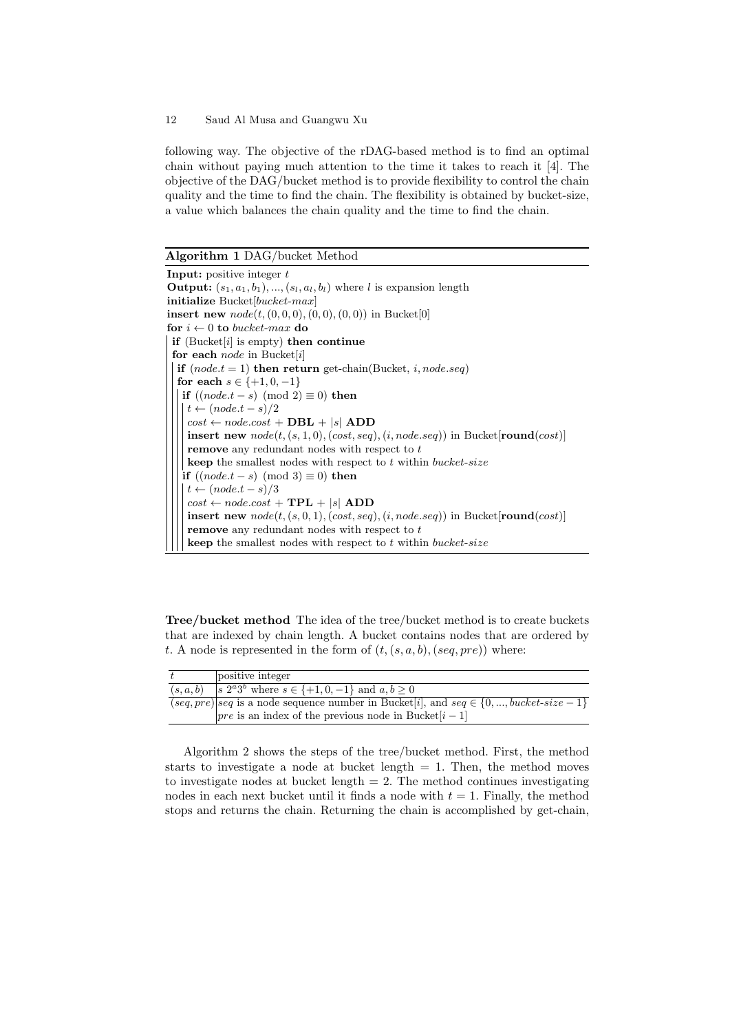following way. The objective of the rDAG-based method is to find an optimal chain without paying much attention to the time it takes to reach it [4]. The objective of the DAG/bucket method is to provide flexibility to control the chain quality and the time to find the chain. The flexibility is obtained by bucket-size, a value which balances the chain quality and the time to find the chain.

Algorithm 1 DAG/bucket Method

**Input:** positive integer  $t$ **Output:**  $(s_1, a_1, b_1), ..., (s_l, a_l, b_l)$  where l is expansion length initialize  $Bucket[bucket\text{-}max]$ insert new  $node(t, (0, 0, 0), (0, 0), (0, 0))$  in Bucket[0] for  $i \leftarrow 0$  to bucket-max do if (Bucket $[i]$  is empty) then continue for each node in Bucket[i] if  $(node.t = 1)$  then return get-chain(Bucket, *i*, node.seq) for each  $s \in \{+1, 0, -1\}$ | if  $((node.t - s) \pmod{2} \equiv 0)$  then  $\vert t \leftarrow (node.t - s)/2$  $cost \leftarrow node-cost + DBL + |s|$  ADD insert new  $node(t, (s, 1, 0), (cost, seq), (i, node. seq))$  in Bucket[round(cost)] remove any redundant nodes with respect to  $t$  $\bold{k}$  the smallest nodes with respect to  $t$  within  $\boldsymbol{bucket}\text{-}size$ if  $((node.t - s) \pmod{3} \equiv 0)$  then  $t \leftarrow (node.t - s)/3$  $cost \leftarrow node-cost + TPL + |s|$  ADD insert new  $node(t, (s, 0, 1), (cost, seq), (i, node. seq))$  in Bucket[round(cost)] remove any redundant nodes with respect to  $t$ **keep** the smallest nodes with respect to  $t$  within bucket-size

Tree/bucket method The idea of the tree/bucket method is to create buckets that are indexed by chain length. A bucket contains nodes that are ordered by t. A node is represented in the form of  $(t, (s, a, b), (seq, pre))$  where:

| positive integer                                                                             |
|----------------------------------------------------------------------------------------------|
| $(s, a, b)$  s $2^{a}3^{b}$ where $s \in \{+1, 0, -1\}$ and $a, b \ge 0$                     |
| $(seq, pre)$ seq is a node sequence number in Bucket i, and seq $\in \{0, , bucket-size-1\}$ |
| $ pre$ is an index of the previous node in Bucket $[i-1]$                                    |

Algorithm 2 shows the steps of the tree/bucket method. First, the method starts to investigate a node at bucket length  $= 1$ . Then, the method moves to investigate nodes at bucket length  $= 2$ . The method continues investigating nodes in each next bucket until it finds a node with  $t = 1$ . Finally, the method stops and returns the chain. Returning the chain is accomplished by get-chain,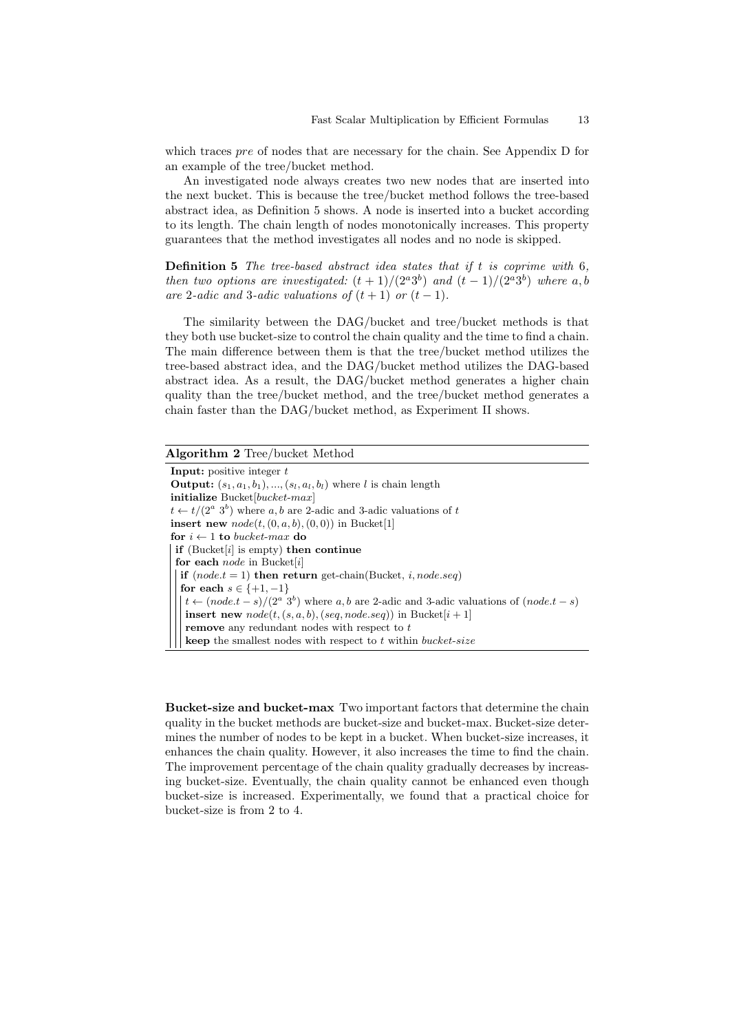which traces *pre* of nodes that are necessary for the chain. See Appendix D for an example of the tree/bucket method.

An investigated node always creates two new nodes that are inserted into the next bucket. This is because the tree/bucket method follows the tree-based abstract idea, as Definition 5 shows. A node is inserted into a bucket according to its length. The chain length of nodes monotonically increases. This property guarantees that the method investigates all nodes and no node is skipped.

**Definition 5** The tree-based abstract idea states that if  $t$  is coprime with  $6$ , then two options are investigated:  $(t+1)/(2^a3^b)$  and  $(t-1)/(2^a3^b)$  where a, b are 2-adic and 3-adic valuations of  $(t + 1)$  or  $(t - 1)$ .

The similarity between the DAG/bucket and tree/bucket methods is that they both use bucket-size to control the chain quality and the time to find a chain. The main difference between them is that the tree/bucket method utilizes the tree-based abstract idea, and the DAG/bucket method utilizes the DAG-based abstract idea. As a result, the DAG/bucket method generates a higher chain quality than the tree/bucket method, and the tree/bucket method generates a chain faster than the DAG/bucket method, as Experiment II shows.

# Algorithm 2 Tree/bucket Method

**Input:** positive integer  $t$ **Output:**  $(s_1, a_1, b_1), ..., (s_l, a_l, b_l)$  where l is chain length initialize  $Bucket[bucket\text{-}max]$  $t \leftarrow t/(2^a 3^b)$  where a, b are 2-adic and 3-adic valuations of t insert new  $node(t, (0, a, b), (0, 0))$  in Bucket[1] for  $i \leftarrow 1$  to bucket-max do if (Bucket $[i]$  is empty) then continue for each node in Bucket[i] if  $(node.t = 1)$  then return get-chain(Bucket, *i, node.seq)* for each  $s \in \{+1, -1\}$  $t \leftarrow (node.t - s)/(2^a 3^b)$  where a, b are 2-adic and 3-adic valuations of  $(node.t - s)$ insert new  $node(t, (s, a, b), (seq, node, seq))$  in Bucket $[i + 1]$ remove any redundant nodes with respect to t **keep** the smallest nodes with respect to  $t$  within bucket-size

Bucket-size and bucket-max Two important factors that determine the chain quality in the bucket methods are bucket-size and bucket-max. Bucket-size determines the number of nodes to be kept in a bucket. When bucket-size increases, it enhances the chain quality. However, it also increases the time to find the chain. The improvement percentage of the chain quality gradually decreases by increasing bucket-size. Eventually, the chain quality cannot be enhanced even though bucket-size is increased. Experimentally, we found that a practical choice for bucket-size is from 2 to 4.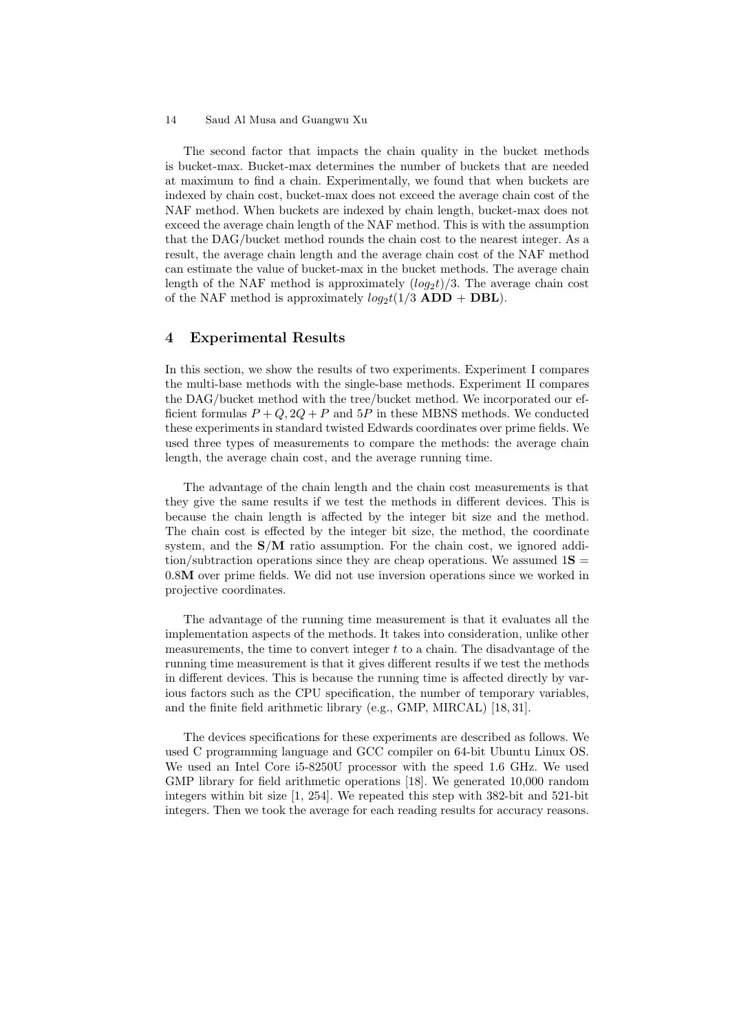The second factor that impacts the chain quality in the bucket methods is bucket-max. Bucket-max determines the number of buckets that are needed at maximum to find a chain. Experimentally, we found that when buckets are indexed by chain cost, bucket-max does not exceed the average chain cost of the NAF method. When buckets are indexed by chain length, bucket-max does not exceed the average chain length of the NAF method. This is with the assumption that the DAG/bucket method rounds the chain cost to the nearest integer. As a result, the average chain length and the average chain cost of the NAF method can estimate the value of bucket-max in the bucket methods. The average chain length of the NAF method is approximately  $(log_2 t)/3$ . The average chain cost of the NAF method is approximately  $log_2t(1/3$  **ADD** + **DBL**).

# 4 Experimental Results

In this section, we show the results of two experiments. Experiment I compares the multi-base methods with the single-base methods. Experiment II compares the DAG/bucket method with the tree/bucket method. We incorporated our efficient formulas  $P + Q$ ,  $2Q + P$  and  $5P$  in these MBNS methods. We conducted these experiments in standard twisted Edwards coordinates over prime fields. We used three types of measurements to compare the methods: the average chain length, the average chain cost, and the average running time.

The advantage of the chain length and the chain cost measurements is that they give the same results if we test the methods in different devices. This is because the chain length is affected by the integer bit size and the method. The chain cost is effected by the integer bit size, the method, the coordinate system, and the  $S/M$  ratio assumption. For the chain cost, we ignored addition/subtraction operations since they are cheap operations. We assumed  $1S =$ 0.8M over prime fields. We did not use inversion operations since we worked in projective coordinates.

The advantage of the running time measurement is that it evaluates all the implementation aspects of the methods. It takes into consideration, unlike other measurements, the time to convert integer  $t$  to a chain. The disadvantage of the running time measurement is that it gives different results if we test the methods in different devices. This is because the running time is affected directly by various factors such as the CPU specification, the number of temporary variables, and the finite field arithmetic library (e.g., GMP, MIRCAL) [18, 31].

The devices specifications for these experiments are described as follows. We used C programming language and GCC compiler on 64-bit Ubuntu Linux OS. We used an Intel Core i5-8250U processor with the speed 1.6 GHz. We used GMP library for field arithmetic operations [18]. We generated 10,000 random integers within bit size [1, 254]. We repeated this step with 382-bit and 521-bit integers. Then we took the average for each reading results for accuracy reasons.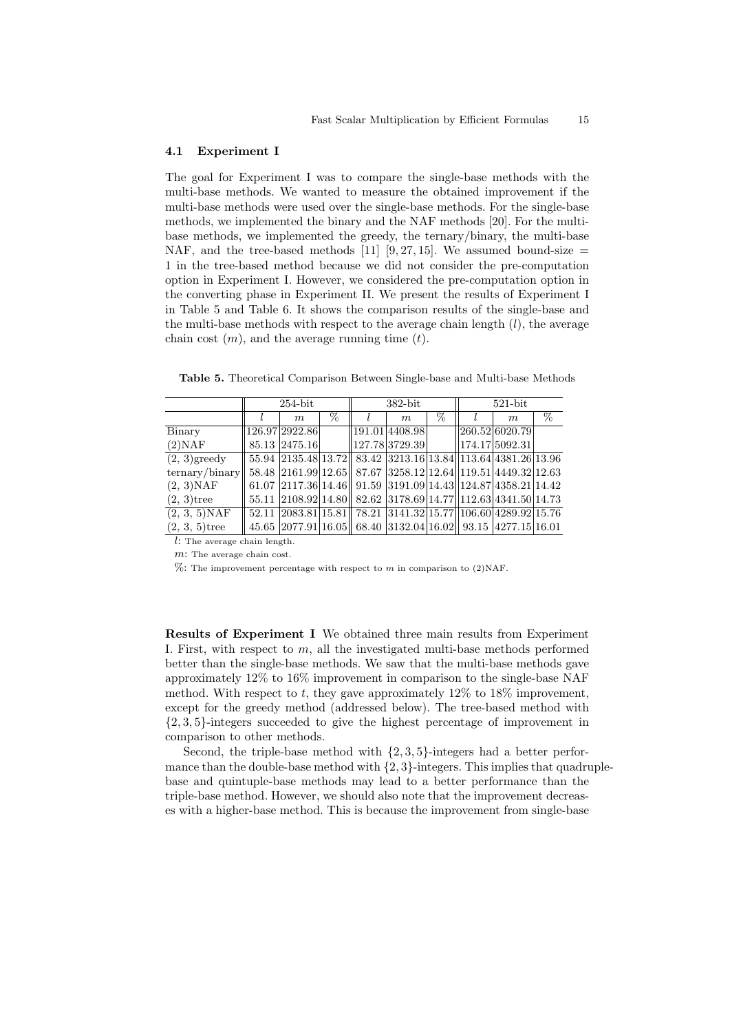### 4.1 Experiment I

The goal for Experiment I was to compare the single-base methods with the multi-base methods. We wanted to measure the obtained improvement if the multi-base methods were used over the single-base methods. For the single-base methods, we implemented the binary and the NAF methods [20]. For the multibase methods, we implemented the greedy, the ternary/binary, the multi-base NAF, and the tree-based methods [11] [9, 27, 15]. We assumed bound-size  $=$ 1 in the tree-based method because we did not consider the pre-computation option in Experiment I. However, we considered the pre-computation option in the converting phase in Experiment II. We present the results of Experiment I in Table 5 and Table 6. It shows the comparison results of the single-base and the multi-base methods with respect to the average chain length  $(l)$ , the average chain cost  $(m)$ , and the average running time  $(t)$ .

Table 5. Theoretical Comparison Between Single-base and Multi-base Methods

|                                | $254$ -bit |                                                                           |      | $382$ -bit     |   | $521$ -bit |                |   |
|--------------------------------|------------|---------------------------------------------------------------------------|------|----------------|---|------------|----------------|---|
|                                |            | m                                                                         | $\%$ | m              | % |            | m              | % |
| Binary                         |            | 126.97 2922.86                                                            |      | 191.01 4408.98 |   |            | 260.52 6020.79 |   |
| (2)NAF                         |            | 85.13 2475.16                                                             |      | 127.78 3729.39 |   |            | 174.17 5092.31 |   |
| $(2, 3)$ greedy                |            | 55.94 2135.48 13.72 83.42 3213.16 13.84 13.64 4381.26 13.96               |      |                |   |            |                |   |
| $\text{ternary}/\text{binary}$ |            | 58.48 2161.99 12.65 87.67 3258.12 12.64 119.51 4449.32 12.63              |      |                |   |            |                |   |
| $(2, 3)$ NAF                   |            | $61.07$  2117.36  14.46    91.59  3191.09  14.43   124.87  4358.21  14.42 |      |                |   |            |                |   |
| $(2, 3)$ tree                  |            | 55.11 2108.92 14.80 82.62 3178.69 14.77 112.63 4341.50 14.73              |      |                |   |            |                |   |
| $(2, 3, 5)$ NAF                | 52.11      | $ 2083.81 15.81 $ 78.21 $ 3141.32 15.77 106.60 4289.92 15.76$             |      |                |   |            |                |   |
| $(2, 3, 5)$ tree               |            | 45.65 2077.91 16.05 68.40 3132.04 16.02 93.15 4277.15 16.01               |      |                |   |            |                |   |

l: The average chain length.

m: The average chain cost.

 $\%$ : The improvement percentage with respect to m in comparison to (2)NAF.

Results of Experiment I We obtained three main results from Experiment I. First, with respect to  $m$ , all the investigated multi-base methods performed better than the single-base methods. We saw that the multi-base methods gave approximately 12% to 16% improvement in comparison to the single-base NAF method. With respect to t, they gave approximately  $12\%$  to  $18\%$  improvement, except for the greedy method (addressed below). The tree-based method with {2, 3, 5}-integers succeeded to give the highest percentage of improvement in comparison to other methods.

Second, the triple-base method with  $\{2, 3, 5\}$ -integers had a better performance than the double-base method with  $\{2, 3\}$ -integers. This implies that quadruplebase and quintuple-base methods may lead to a better performance than the triple-base method. However, we should also note that the improvement decreases with a higher-base method. This is because the improvement from single-base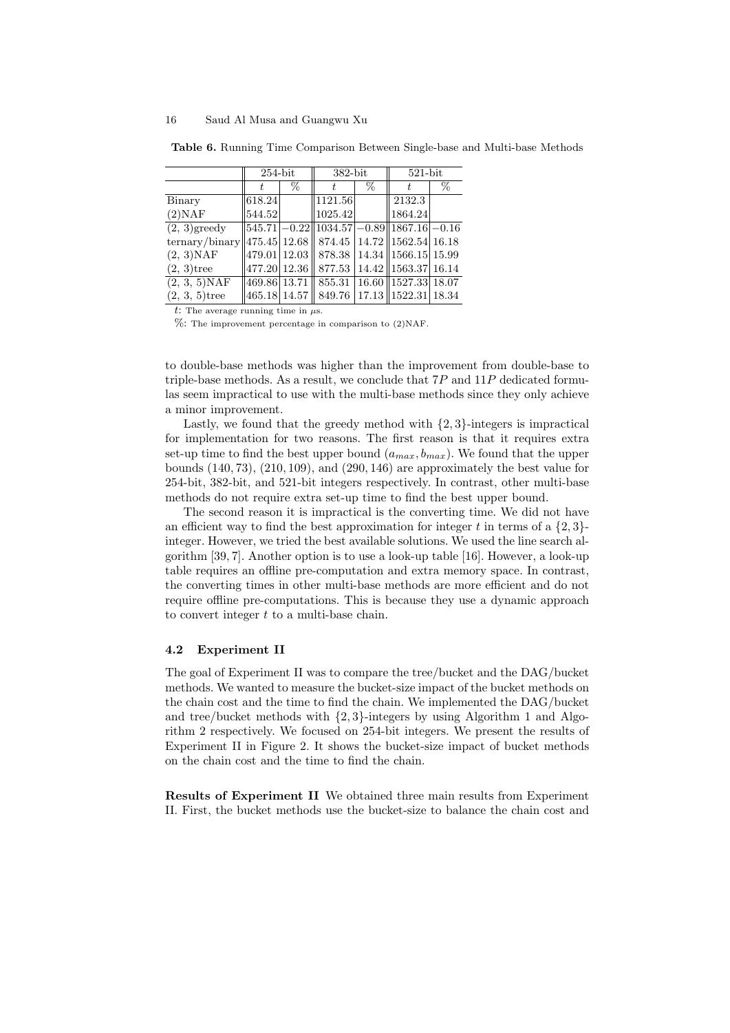|                                                                    | $254$ -bit |   | $382$ -bit                                            |   | $521$ -bit |   |  |
|--------------------------------------------------------------------|------------|---|-------------------------------------------------------|---|------------|---|--|
|                                                                    | t          | % |                                                       | % |            | % |  |
| Binary                                                             | 618.24     |   | 1121.56                                               |   | 2132.3     |   |  |
| (2)NAF                                                             | 544.52     |   | 1025.42                                               |   | 1864.24    |   |  |
| $(2, 3)$ greedy                                                    |            |   | $ 545.71  - 0.22   1034.57  - 0.89   1867.16  - 0.16$ |   |            |   |  |
| ternary/binary  475.45  12.68    874.45   14.72    1562.54   16.18 |            |   |                                                       |   |            |   |  |
| $(2, 3)$ NAF                                                       |            |   | 479.01   12.03    878.38   14.34    1566.15   15.99   |   |            |   |  |
| $(2, 3)$ tree                                                      |            |   | 477.20   12.36    877.53   14.42    1563.37   16.14   |   |            |   |  |
| $(2, 3, 5)$ NAF                                                    |            |   | $ 469.86 13.71  855.31 16.60  1527.33 18.07$          |   |            |   |  |
| $(2, 3, 5)$ tree                                                   |            |   | 465.18  14.57    849.76   17.13   1522.31  18.34      |   |            |   |  |

Table 6. Running Time Comparison Between Single-base and Multi-base Methods

t: The average running time in  $\mu$ s.

 $\%$ : The improvement percentage in comparison to (2)NAF.

to double-base methods was higher than the improvement from double-base to triple-base methods. As a result, we conclude that  $7P$  and  $11P$  dedicated formulas seem impractical to use with the multi-base methods since they only achieve a minor improvement.

Lastly, we found that the greedy method with  $\{2, 3\}$ -integers is impractical for implementation for two reasons. The first reason is that it requires extra set-up time to find the best upper bound  $(a_{max}, b_{max})$ . We found that the upper bounds (140, 73), (210, 109), and (290, 146) are approximately the best value for 254-bit, 382-bit, and 521-bit integers respectively. In contrast, other multi-base methods do not require extra set-up time to find the best upper bound.

The second reason it is impractical is the converting time. We did not have an efficient way to find the best approximation for integer t in terms of a  $\{2,3\}$ integer. However, we tried the best available solutions. We used the line search algorithm [39, 7]. Another option is to use a look-up table [16]. However, a look-up table requires an offline pre-computation and extra memory space. In contrast, the converting times in other multi-base methods are more efficient and do not require offline pre-computations. This is because they use a dynamic approach to convert integer  $t$  to a multi-base chain.

## 4.2 Experiment II

The goal of Experiment II was to compare the tree/bucket and the DAG/bucket methods. We wanted to measure the bucket-size impact of the bucket methods on the chain cost and the time to find the chain. We implemented the DAG/bucket and tree/bucket methods with  $\{2,3\}$ -integers by using Algorithm 1 and Algorithm 2 respectively. We focused on 254-bit integers. We present the results of Experiment II in Figure 2. It shows the bucket-size impact of bucket methods on the chain cost and the time to find the chain.

Results of Experiment II We obtained three main results from Experiment II. First, the bucket methods use the bucket-size to balance the chain cost and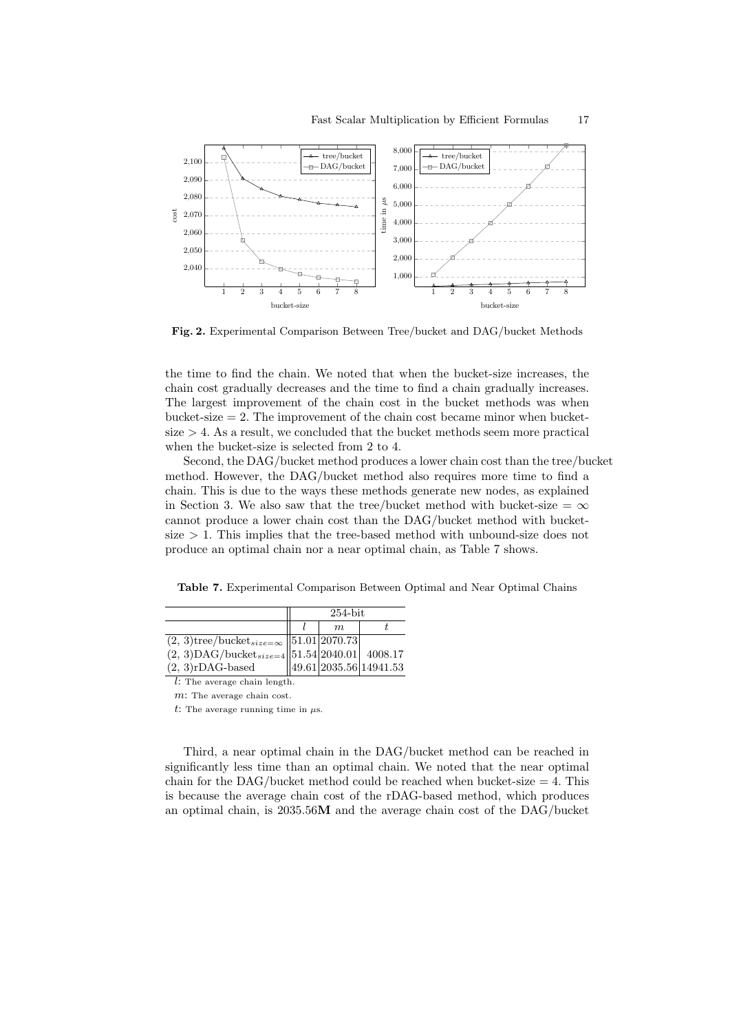

Fig. 2. Experimental Comparison Between Tree/bucket and DAG/bucket Methods

the time to find the chain. We noted that when the bucket-size increases, the chain cost gradually decreases and the time to find a chain gradually increases. The largest improvement of the chain cost in the bucket methods was when bucket-size  $= 2$ . The improvement of the chain cost became minor when bucket $size > 4$ . As a result, we concluded that the bucket methods seem more practical when the bucket-size is selected from 2 to 4.

Second, the DAG/bucket method produces a lower chain cost than the tree/bucket method. However, the DAG/bucket method also requires more time to find a chain. This is due to the ways these methods generate new nodes, as explained in Section 3. We also saw that the tree/bucket method with bucket-size =  $\infty$ cannot produce a lower chain cost than the DAG/bucket method with bucketsize  $> 1$ . This implies that the tree-based method with unbound-size does not produce an optimal chain nor a near optimal chain, as Table 7 shows.

Table 7. Experimental Comparison Between Optimal and Near Optimal Chains

|                                                                                                                                                                                                                          | $254$ -bit |             |                            |  |
|--------------------------------------------------------------------------------------------------------------------------------------------------------------------------------------------------------------------------|------------|-------------|----------------------------|--|
|                                                                                                                                                                                                                          |            | $m_{\cdot}$ |                            |  |
| $\begin{array}{c c} \text{(2, 3)} \text{tree/bucket}_{size=\infty} & \text{51.01}\text{ } \text{2070.73} \\ \text{(2, 3)} \text{DAG/bucket}_{size=4} & \text{51.54}\text{ } \text{2040.01} & \text{4008.17} \end{array}$ |            |             |                            |  |
|                                                                                                                                                                                                                          |            |             |                            |  |
| $(2, 3)$ rDAG-based                                                                                                                                                                                                      |            |             | $\ 49.61 2035.56 14941.53$ |  |

l: The average chain length.

m: The average chain cost.

t: The average running time in  $\mu$ s.

Third, a near optimal chain in the DAG/bucket method can be reached in significantly less time than an optimal chain. We noted that the near optimal chain for the DAG/bucket method could be reached when bucket-size  $= 4$ . This is because the average chain cost of the rDAG-based method, which produces an optimal chain, is 2035.56M and the average chain cost of the DAG/bucket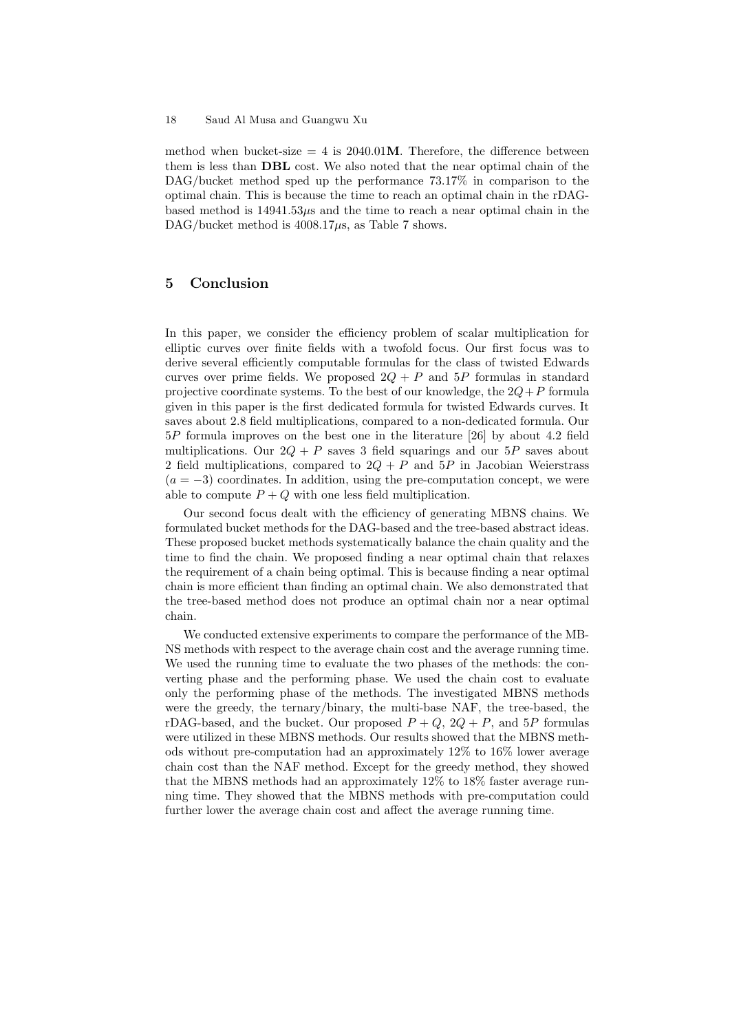method when bucket-size  $= 4$  is 2040.01M. Therefore, the difference between them is less than DBL cost. We also noted that the near optimal chain of the DAG/bucket method sped up the performance 73.17% in comparison to the optimal chain. This is because the time to reach an optimal chain in the rDAGbased method is  $14941.53\mu s$  and the time to reach a near optimal chain in the DAG/bucket method is  $4008.17\mu s$ , as Table 7 shows.

# 5 Conclusion

In this paper, we consider the efficiency problem of scalar multiplication for elliptic curves over finite fields with a twofold focus. Our first focus was to derive several efficiently computable formulas for the class of twisted Edwards curves over prime fields. We proposed  $2Q + P$  and  $5P$  formulas in standard projective coordinate systems. To the best of our knowledge, the  $2Q+P$  formula given in this paper is the first dedicated formula for twisted Edwards curves. It saves about 2.8 field multiplications, compared to a non-dedicated formula. Our 5P formula improves on the best one in the literature [26] by about 4.2 field multiplications. Our  $2Q + P$  saves 3 field squarings and our 5P saves about 2 field multiplications, compared to  $2Q + P$  and  $5P$  in Jacobian Weierstrass  $(a = -3)$  coordinates. In addition, using the pre-computation concept, we were able to compute  $P + Q$  with one less field multiplication.

Our second focus dealt with the efficiency of generating MBNS chains. We formulated bucket methods for the DAG-based and the tree-based abstract ideas. These proposed bucket methods systematically balance the chain quality and the time to find the chain. We proposed finding a near optimal chain that relaxes the requirement of a chain being optimal. This is because finding a near optimal chain is more efficient than finding an optimal chain. We also demonstrated that the tree-based method does not produce an optimal chain nor a near optimal chain.

We conducted extensive experiments to compare the performance of the MB-NS methods with respect to the average chain cost and the average running time. We used the running time to evaluate the two phases of the methods: the converting phase and the performing phase. We used the chain cost to evaluate only the performing phase of the methods. The investigated MBNS methods were the greedy, the ternary/binary, the multi-base NAF, the tree-based, the rDAG-based, and the bucket. Our proposed  $P + Q$ ,  $2Q + P$ , and  $5P$  formulas were utilized in these MBNS methods. Our results showed that the MBNS methods without pre-computation had an approximately 12% to 16% lower average chain cost than the NAF method. Except for the greedy method, they showed that the MBNS methods had an approximately 12% to 18% faster average running time. They showed that the MBNS methods with pre-computation could further lower the average chain cost and affect the average running time.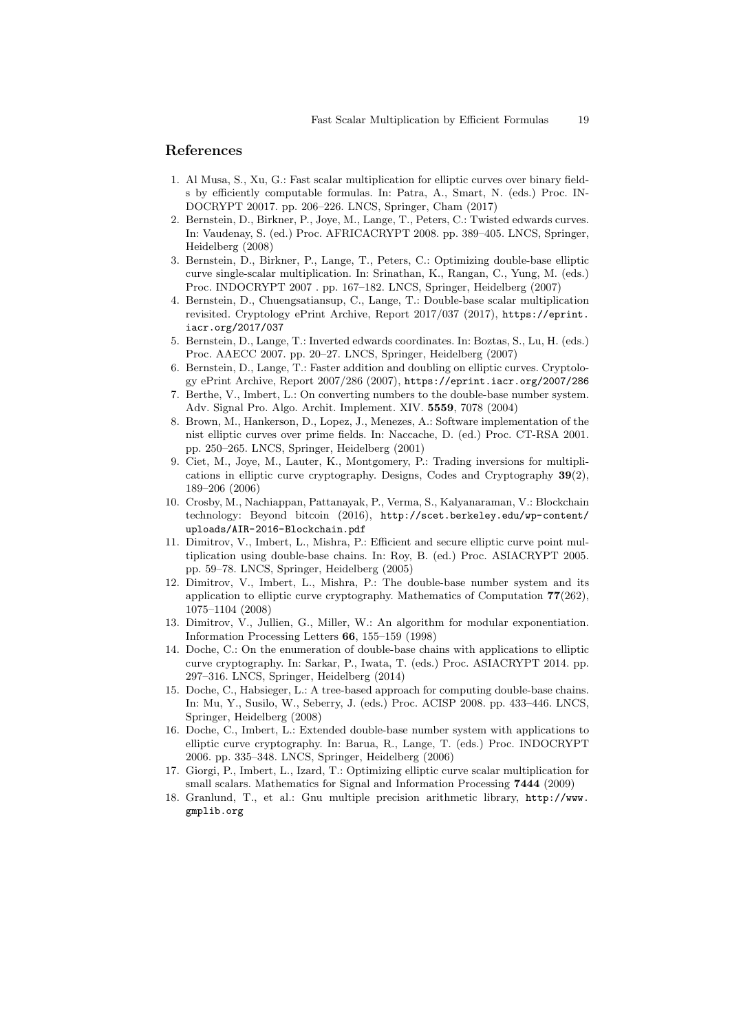# References

- 1. Al Musa, S., Xu, G.: Fast scalar multiplication for elliptic curves over binary fields by efficiently computable formulas. In: Patra, A., Smart, N. (eds.) Proc. IN-DOCRYPT 20017. pp. 206–226. LNCS, Springer, Cham (2017)
- 2. Bernstein, D., Birkner, P., Joye, M., Lange, T., Peters, C.: Twisted edwards curves. In: Vaudenay, S. (ed.) Proc. AFRICACRYPT 2008. pp. 389–405. LNCS, Springer, Heidelberg (2008)
- 3. Bernstein, D., Birkner, P., Lange, T., Peters, C.: Optimizing double-base elliptic curve single-scalar multiplication. In: Srinathan, K., Rangan, C., Yung, M. (eds.) Proc. INDOCRYPT 2007 . pp. 167–182. LNCS, Springer, Heidelberg (2007)
- 4. Bernstein, D., Chuengsatiansup, C., Lange, T.: Double-base scalar multiplication revisited. Cryptology ePrint Archive, Report 2017/037 (2017), https://eprint. iacr.org/2017/037
- 5. Bernstein, D., Lange, T.: Inverted edwards coordinates. In: Boztas, S., Lu, H. (eds.) Proc. AAECC 2007. pp. 20–27. LNCS, Springer, Heidelberg (2007)
- 6. Bernstein, D., Lange, T.: Faster addition and doubling on elliptic curves. Cryptology ePrint Archive, Report 2007/286 (2007), https://eprint.iacr.org/2007/286
- 7. Berthe, V., Imbert, L.: On converting numbers to the double-base number system. Adv. Signal Pro. Algo. Archit. Implement. XIV. 5559, 7078 (2004)
- 8. Brown, M., Hankerson, D., Lopez, J., Menezes, A.: Software implementation of the nist elliptic curves over prime fields. In: Naccache, D. (ed.) Proc. CT-RSA 2001. pp. 250–265. LNCS, Springer, Heidelberg (2001)
- 9. Ciet, M., Joye, M., Lauter, K., Montgomery, P.: Trading inversions for multiplications in elliptic curve cryptography. Designs, Codes and Cryptography 39(2), 189–206 (2006)
- 10. Crosby, M., Nachiappan, Pattanayak, P., Verma, S., Kalyanaraman, V.: Blockchain technology: Beyond bitcoin (2016), http://scet.berkeley.edu/wp-content/ uploads/AIR-2016-Blockchain.pdf
- 11. Dimitrov, V., Imbert, L., Mishra, P.: Efficient and secure elliptic curve point multiplication using double-base chains. In: Roy, B. (ed.) Proc. ASIACRYPT 2005. pp. 59–78. LNCS, Springer, Heidelberg (2005)
- 12. Dimitrov, V., Imbert, L., Mishra, P.: The double-base number system and its application to elliptic curve cryptography. Mathematics of Computation 77(262), 1075–1104 (2008)
- 13. Dimitrov, V., Jullien, G., Miller, W.: An algorithm for modular exponentiation. Information Processing Letters 66, 155–159 (1998)
- 14. Doche, C.: On the enumeration of double-base chains with applications to elliptic curve cryptography. In: Sarkar, P., Iwata, T. (eds.) Proc. ASIACRYPT 2014. pp. 297–316. LNCS, Springer, Heidelberg (2014)
- 15. Doche, C., Habsieger, L.: A tree-based approach for computing double-base chains. In: Mu, Y., Susilo, W., Seberry, J. (eds.) Proc. ACISP 2008. pp. 433–446. LNCS, Springer, Heidelberg (2008)
- 16. Doche, C., Imbert, L.: Extended double-base number system with applications to elliptic curve cryptography. In: Barua, R., Lange, T. (eds.) Proc. INDOCRYPT 2006. pp. 335–348. LNCS, Springer, Heidelberg (2006)
- 17. Giorgi, P., Imbert, L., Izard, T.: Optimizing elliptic curve scalar multiplication for small scalars. Mathematics for Signal and Information Processing 7444 (2009)
- 18. Granlund, T., et al.: Gnu multiple precision arithmetic library, http://www. gmplib.org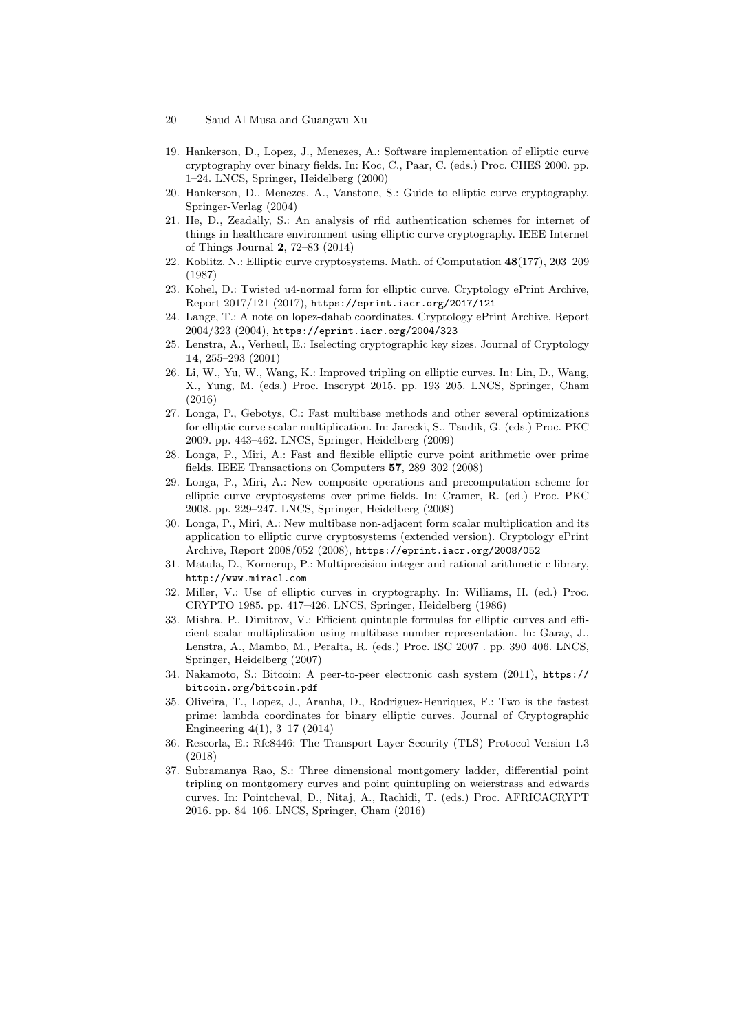- 20 Saud Al Musa and Guangwu Xu
- 19. Hankerson, D., Lopez, J., Menezes, A.: Software implementation of elliptic curve cryptography over binary fields. In: Koc, C., Paar, C. (eds.) Proc. CHES 2000. pp. 1–24. LNCS, Springer, Heidelberg (2000)
- 20. Hankerson, D., Menezes, A., Vanstone, S.: Guide to elliptic curve cryptography. Springer-Verlag (2004)
- 21. He, D., Zeadally, S.: An analysis of rfid authentication schemes for internet of things in healthcare environment using elliptic curve cryptography. IEEE Internet of Things Journal 2, 72–83 (2014)
- 22. Koblitz, N.: Elliptic curve cryptosystems. Math. of Computation 48(177), 203–209 (1987)
- 23. Kohel, D.: Twisted u4-normal form for elliptic curve. Cryptology ePrint Archive, Report 2017/121 (2017), https://eprint.iacr.org/2017/121
- 24. Lange, T.: A note on lopez-dahab coordinates. Cryptology ePrint Archive, Report 2004/323 (2004), https://eprint.iacr.org/2004/323
- 25. Lenstra, A., Verheul, E.: Iselecting cryptographic key sizes. Journal of Cryptology 14, 255–293 (2001)
- 26. Li, W., Yu, W., Wang, K.: Improved tripling on elliptic curves. In: Lin, D., Wang, X., Yung, M. (eds.) Proc. Inscrypt 2015. pp. 193–205. LNCS, Springer, Cham (2016)
- 27. Longa, P., Gebotys, C.: Fast multibase methods and other several optimizations for elliptic curve scalar multiplication. In: Jarecki, S., Tsudik, G. (eds.) Proc. PKC 2009. pp. 443–462. LNCS, Springer, Heidelberg (2009)
- 28. Longa, P., Miri, A.: Fast and flexible elliptic curve point arithmetic over prime fields. IEEE Transactions on Computers 57, 289–302 (2008)
- 29. Longa, P., Miri, A.: New composite operations and precomputation scheme for elliptic curve cryptosystems over prime fields. In: Cramer, R. (ed.) Proc. PKC 2008. pp. 229–247. LNCS, Springer, Heidelberg (2008)
- 30. Longa, P., Miri, A.: New multibase non-adjacent form scalar multiplication and its application to elliptic curve cryptosystems (extended version). Cryptology ePrint Archive, Report 2008/052 (2008), https://eprint.iacr.org/2008/052
- 31. Matula, D., Kornerup, P.: Multiprecision integer and rational arithmetic c library, http://www.miracl.com
- 32. Miller, V.: Use of elliptic curves in cryptography. In: Williams, H. (ed.) Proc. CRYPTO 1985. pp. 417–426. LNCS, Springer, Heidelberg (1986)
- 33. Mishra, P., Dimitrov, V.: Efficient quintuple formulas for elliptic curves and efficient scalar multiplication using multibase number representation. In: Garay, J., Lenstra, A., Mambo, M., Peralta, R. (eds.) Proc. ISC 2007 . pp. 390–406. LNCS, Springer, Heidelberg (2007)
- 34. Nakamoto, S.: Bitcoin: A peer-to-peer electronic cash system (2011), https:// bitcoin.org/bitcoin.pdf
- 35. Oliveira, T., Lopez, J., Aranha, D., Rodriguez-Henriquez, F.: Two is the fastest prime: lambda coordinates for binary elliptic curves. Journal of Cryptographic Engineering 4(1), 3–17 (2014)
- 36. Rescorla, E.: Rfc8446: The Transport Layer Security (TLS) Protocol Version 1.3 (2018)
- 37. Subramanya Rao, S.: Three dimensional montgomery ladder, differential point tripling on montgomery curves and point quintupling on weierstrass and edwards curves. In: Pointcheval, D., Nitaj, A., Rachidi, T. (eds.) Proc. AFRICACRYPT 2016. pp. 84–106. LNCS, Springer, Cham (2016)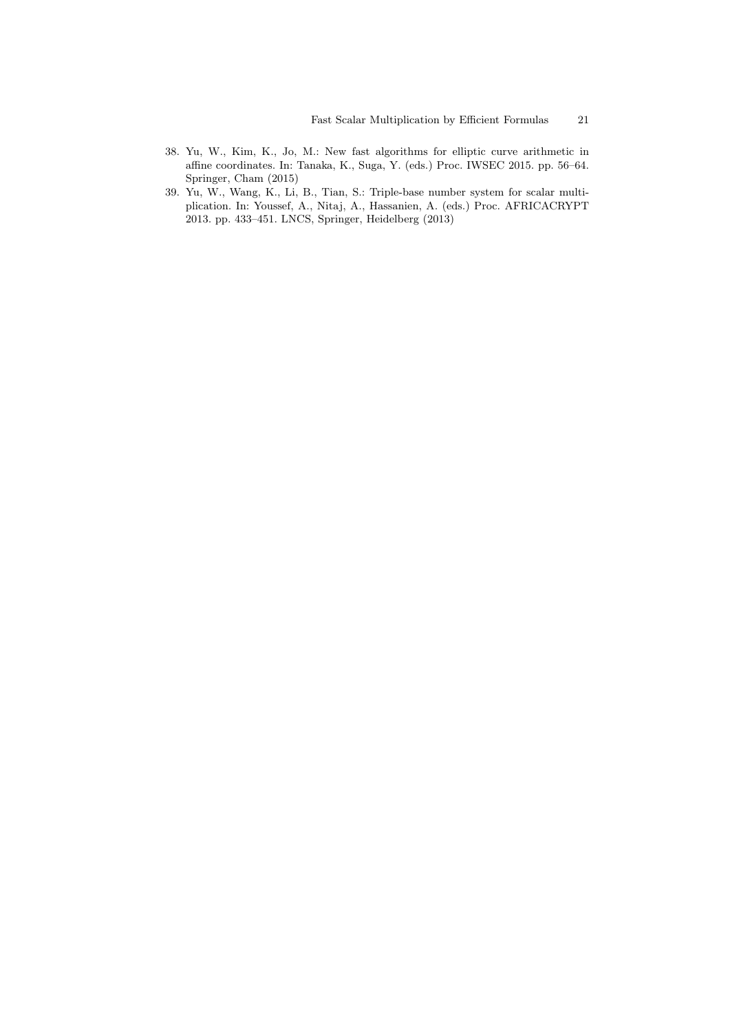- 38. Yu, W., Kim, K., Jo, M.: New fast algorithms for elliptic curve arithmetic in affine coordinates. In: Tanaka, K., Suga, Y. (eds.) Proc. IWSEC 2015. pp. 56–64. Springer, Cham (2015)
- 39. Yu, W., Wang, K., Li, B., Tian, S.: Triple-base number system for scalar multiplication. In: Youssef, A., Nitaj, A., Hassanien, A. (eds.) Proc. AFRICACRYPT 2013. pp. 433–451. LNCS, Springer, Heidelberg (2013)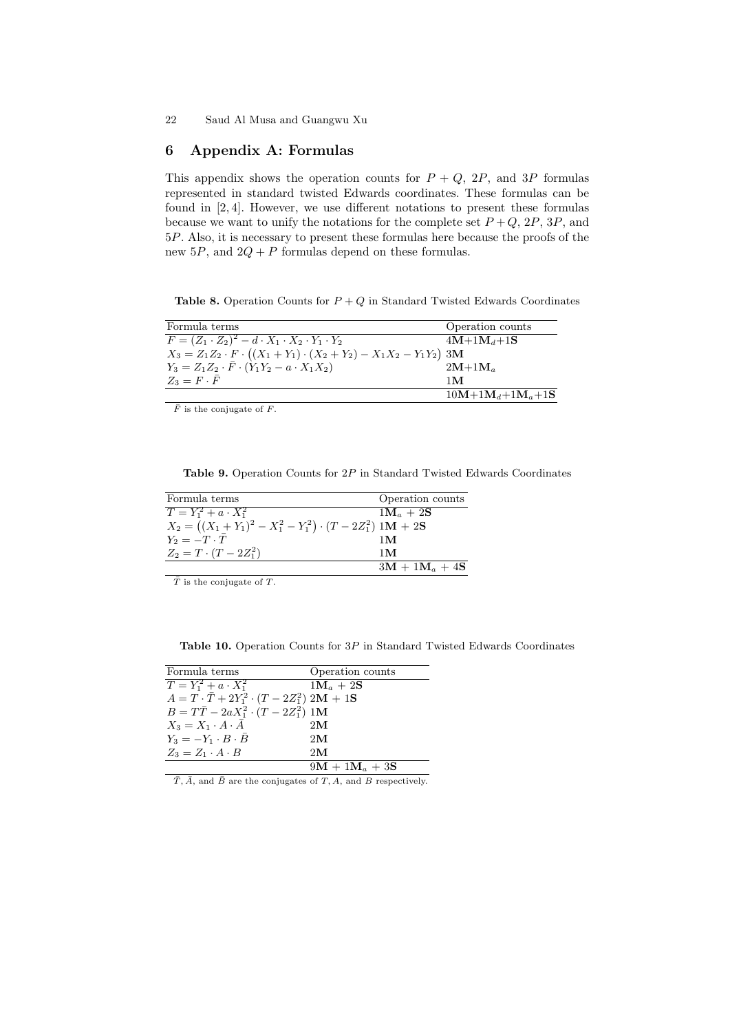# 6 Appendix A: Formulas

This appendix shows the operation counts for  $P + Q$ , 2P, and 3P formulas represented in standard twisted Edwards coordinates. These formulas can be found in [2, 4]. However, we use different notations to present these formulas because we want to unify the notations for the complete set  $P+Q$ ,  $2P$ ,  $3P$ , and 5P. Also, it is necessary to present these formulas here because the proofs of the new  $5P$ , and  $2Q + P$  formulas depend on these formulas.

Table 8. Operation Counts for  $P + Q$  in Standard Twisted Edwards Coordinates

| Formula terms                                                                        | Operation counts   |
|--------------------------------------------------------------------------------------|--------------------|
| $F = (Z_1 \cdot Z_2)^2 - d \cdot X_1 \cdot X_2 \cdot Y_1 \cdot Y_2$                  | $4M+1M_d+1S$       |
| $X_3 = Z_1 Z_2 \cdot F \cdot ((X_1 + Y_1) \cdot (X_2 + Y_2) - X_1 X_2 - Y_1 Y_2)$ 3M |                    |
| $Y_3 = Z_1 Z_2 \cdot \bar{F} \cdot (Y_1 Y_2 - a \cdot X_1 X_2)$                      | $2M+1M_a$          |
| $Z_3 = F \cdot \bar{F}$                                                              | 1 M                |
|                                                                                      | $10M+1M_d+1M_a+1S$ |

 $\overline{F}$  is the conjugate of  $F$ .

Table 9. Operation Counts for 2P in Standard Twisted Edwards Coordinates

| Formula terms                                                      | Operation counts              |
|--------------------------------------------------------------------|-------------------------------|
| $T = Y_1^2 + a \cdot X_1^2$                                        | $1\mathbf{M}_a + 2\mathbf{S}$ |
| $X_2 = ((X_1 + Y_1)^2 - X_1^2 - Y_1^2) \cdot (T - 2Z_1^2) 1M + 2S$ |                               |
| $Y_2 = -T \cdot T$                                                 | 1 <sub>M</sub>                |
| $Z_2 = T \cdot (T - 2Z_1^2)$                                       | 1 <sub>M</sub>                |
|                                                                    | $3M + 1M_a + 4S$              |

 $\bar{T}$  is the conjugate of  $T$ .

Table 10. Operation Counts for 3P in Standard Twisted Edwards Coordinates

| Formula terms                                             | Operation counts              |
|-----------------------------------------------------------|-------------------------------|
| $T = Y_1^2 + a \cdot X_1^2$                               | $1\mathbf{M}_a + 2\mathbf{S}$ |
| $A = T \cdot \bar{T} + 2Y_1^2 \cdot (T - 2Z_1^2) 2M + 1S$ |                               |
| $B = T\bar{T} - 2aX_1^2 \cdot (T - 2Z_1^2)$ 1M            |                               |
| $X_3 = X_1 \cdot A \cdot A$                               | 2M                            |
| $Y_3 = -Y_1 \cdot B \cdot \bar{B}$                        | 2M                            |
| $Z_3 = Z_1 \cdot A \cdot B$                               | 2M                            |
|                                                           | $9M + 1M_a + 3S$              |
|                                                           |                               |

 $\overline{T}, \overline{A}$ , and  $\overline{B}$  are the conjugates of  $T, A$ , and  $B$  respectively.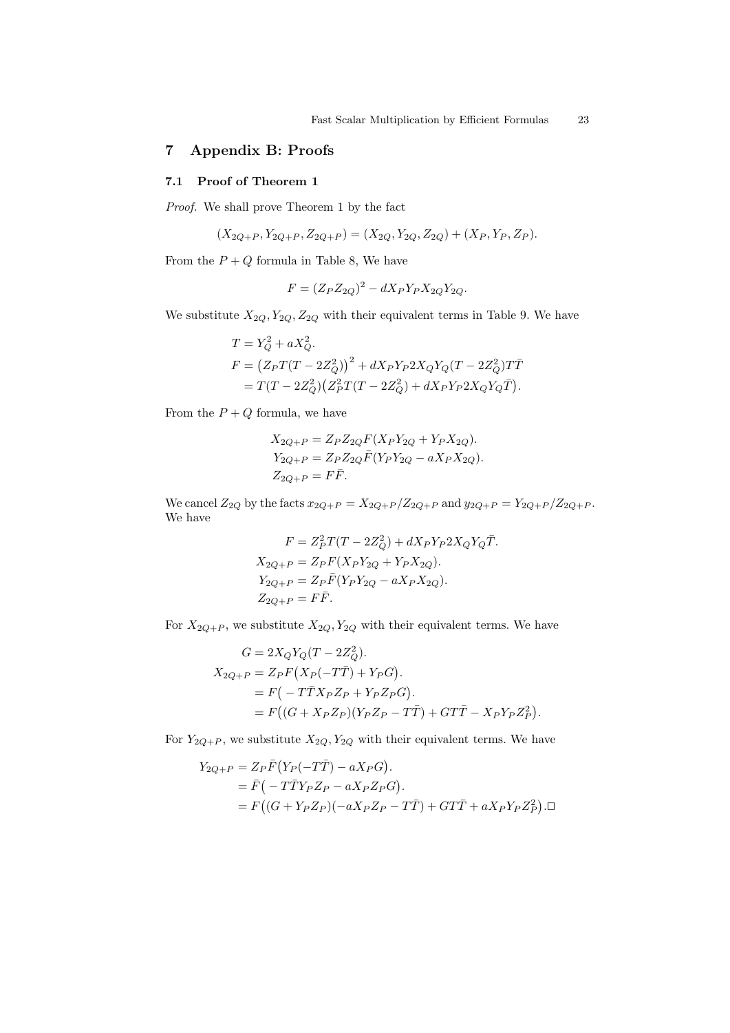# 7 Appendix B: Proofs

## 7.1 Proof of Theorem 1

Proof. We shall prove Theorem 1 by the fact

$$
(X_{2Q+P}, Y_{2Q+P}, Z_{2Q+P}) = (X_{2Q}, Y_{2Q}, Z_{2Q}) + (X_P, Y_P, Z_P).
$$

From the  $P + Q$  formula in Table 8, We have

$$
F = (Z_P Z_{2Q})^2 - dX_P Y_P X_{2Q} Y_{2Q}.
$$

We substitute  $X_{2Q}, Y_{2Q}, Z_{2Q}$  with their equivalent terms in Table 9. We have

$$
T = Y_Q^2 + aX_Q^2.
$$
  
\n
$$
F = (Z_P T(T - 2Z_Q^2))^2 + dX_P Y_P 2X_Q Y_Q (T - 2Z_Q^2) T \overline{T}
$$
  
\n
$$
= T(T - 2Z_Q^2) (Z_P^2 T(T - 2Z_Q^2) + dX_P Y_P 2X_Q Y_Q \overline{T}).
$$

From the  $P + Q$  formula, we have

$$
X_{2Q+P} = Z_P Z_{2Q} F(X_P Y_{2Q} + Y_P X_{2Q}).
$$
  
\n
$$
Y_{2Q+P} = Z_P Z_{2Q} \bar{F}(Y_P Y_{2Q} - aX_P X_{2Q}).
$$
  
\n
$$
Z_{2Q+P} = F\bar{F}.
$$

We cancel  $Z_{2Q}$  by the facts  $x_{2Q+P} = X_{2Q+P}/Z_{2Q+P}$  and  $y_{2Q+P} = Y_{2Q+P}/Z_{2Q+P}$ . We have

$$
F = Z_P^2 T(T - 2Z_Q^2) + dX_P Y_P 2X_Q Y_Q \overline{T}.
$$
  
\n
$$
X_{2Q+P} = Z_P F(X_P Y_{2Q} + Y_P X_{2Q}).
$$
  
\n
$$
Y_{2Q+P} = Z_P \overline{F}(Y_P Y_{2Q} - aX_P X_{2Q}).
$$
  
\n
$$
Z_{2Q+P} = F \overline{F}.
$$

For  $X_{2Q+P}$ , we substitute  $X_{2Q}$ ,  $Y_{2Q}$  with their equivalent terms. We have

$$
G = 2X_QY_Q(T - 2Z_Q^2).
$$
  
\n
$$
X_{2Q+P} = Z_PF(X_P(-T\overline{T}) + Y_PG).
$$
  
\n
$$
= F(-T\overline{T}X_PZ_P + Y_PZ_PG).
$$
  
\n
$$
= F\big((G + X_PZ_P)(Y_PZ_P - T\overline{T}) + GT\overline{T} - X_PY_PZ_P^2\big).
$$

For  $Y_{2Q+P}$ , we substitute  $X_{2Q}$ ,  $Y_{2Q}$  with their equivalent terms. We have

$$
Y_{2Q+P} = Z_P \bar{F} (Y_P(-T\bar{T}) - aX_P G).
$$
  
=  $\bar{F}(-T\bar{T}Y_P Z_P - aX_P Z_P G).$   
=  $F((G + Y_P Z_P)(-aX_P Z_P - T\bar{T}) + GT\bar{T} + aX_P Y_P Z_P^2).$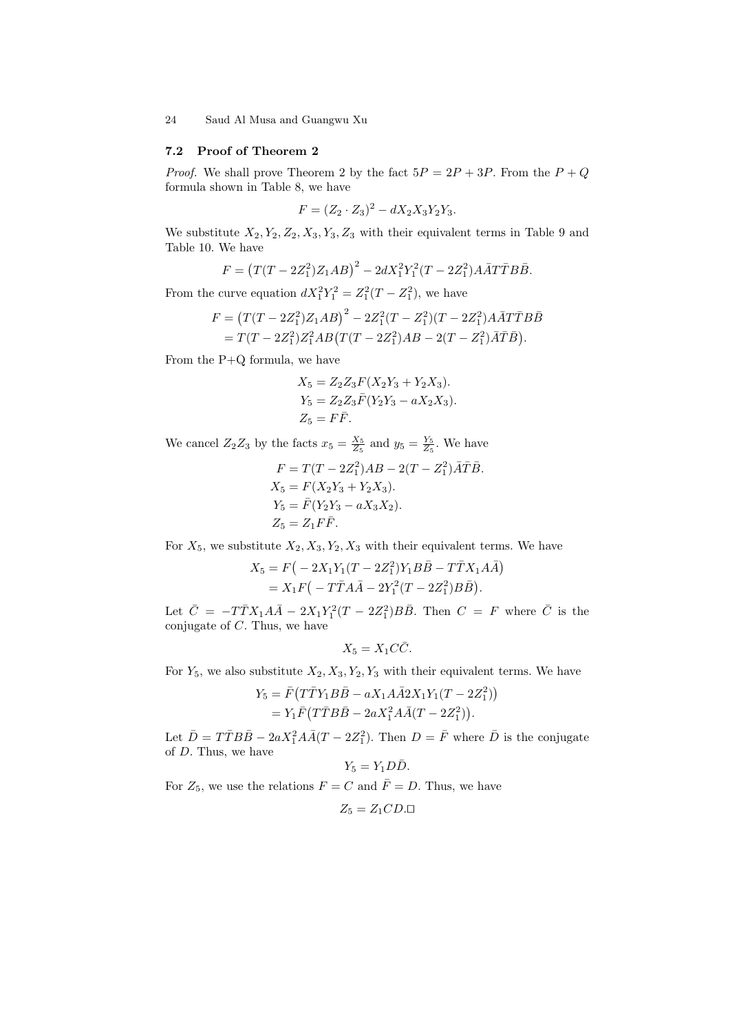### 7.2 Proof of Theorem 2

*Proof.* We shall prove Theorem 2 by the fact  $5P = 2P + 3P$ . From the  $P + Q$ formula shown in Table 8, we have

$$
F = (Z_2 \cdot Z_3)^2 - dX_2 X_3 Y_2 Y_3.
$$

We substitute  $X_2, Y_2, Z_2, X_3, Y_3, Z_3$  with their equivalent terms in Table 9 and Table 10. We have

$$
F = (T(T - 2Z_1^2)Z_1AB)^2 - 2dX_1^2Y_1^2(T - 2Z_1^2)A\overline{A}T\overline{T}B\overline{B}.
$$

From the curve equation  $dX_1^2Y_1^2 = Z_1^2(T - Z_1^2)$ , we have

$$
F = (T(T - 2Z_1^2)Z_1AB)^2 - 2Z_1^2(T - Z_1^2)(T - 2Z_1^2)A\overline{A}T\overline{T}B\overline{B}
$$
  
=  $T(T - 2Z_1^2)Z_1^2AB(T(T - 2Z_1^2)AB - 2(T - Z_1^2)\overline{A}\overline{T}\overline{B}).$ 

From the P+Q formula, we have

$$
X_5 = Z_2 Z_3 F (X_2 Y_3 + Y_2 X_3).
$$
  
\n
$$
Y_5 = Z_2 Z_3 \overline{F} (Y_2 Y_3 - a X_2 X_3).
$$
  
\n
$$
Z_5 = F \overline{F}.
$$

We cancel  $Z_2 Z_3$  by the facts  $x_5 = \frac{X_5}{Z_5}$  and  $y_5 = \frac{Y_5}{Z_5}$ . We have

$$
F = T(T - 2Z_1^2)AB - 2(T - Z_1^2)\overline{A}\overline{T}\overline{B}.
$$
  
\n
$$
X_5 = F(X_2Y_3 + Y_2X_3).
$$
  
\n
$$
Y_5 = \overline{F}(Y_2Y_3 - aX_3X_2).
$$
  
\n
$$
Z_5 = Z_1F\overline{F}.
$$

For  $X_5$ , we substitute  $X_2, X_3, Y_2, X_3$  with their equivalent terms. We have

$$
X_5 = F(-2X_1Y_1(T - 2Z_1^2)Y_1B\overline{B} - T\overline{T}X_1A\overline{A})
$$
  
=  $X_1F(-T\overline{T}A\overline{A} - 2Y_1^2(T - 2Z_1^2)B\overline{B}).$ 

Let  $\bar{C} = -T\bar{T}X_1A\bar{A} - 2X_1Y_1^2(T - 2Z_1^2)B\bar{B}$ . Then  $C = F$  where  $\bar{C}$  is the conjugate of C. Thus, we have

$$
X_5 = X_1 C \overline{C}.
$$

For  $Y_5$ , we also substitute  $X_2, X_3, Y_2, Y_3$  with their equivalent terms. We have

$$
Y_5 = \overline{F}(T\overline{T}Y_1B\overline{B} - aX_1A\overline{A}2X_1Y_1(T - 2Z_1^2))
$$
  
= 
$$
Y_1\overline{F}(T\overline{T}B\overline{B} - 2aX_1^2A\overline{A}(T - 2Z_1^2)).
$$

Let  $\bar{D} = T\bar{T}B\bar{B} - 2aX_1^2A\bar{A}(T - 2Z_1^2)$ . Then  $D = \bar{F}$  where  $\bar{D}$  is the conjugate of D. Thus, we have

$$
Y_5=Y_1D\bar D.
$$

For  $Z_5$ , we use the relations  $F = C$  and  $\overline{F} = D$ . Thus, we have

$$
Z_5 = Z_1 C D. \Box
$$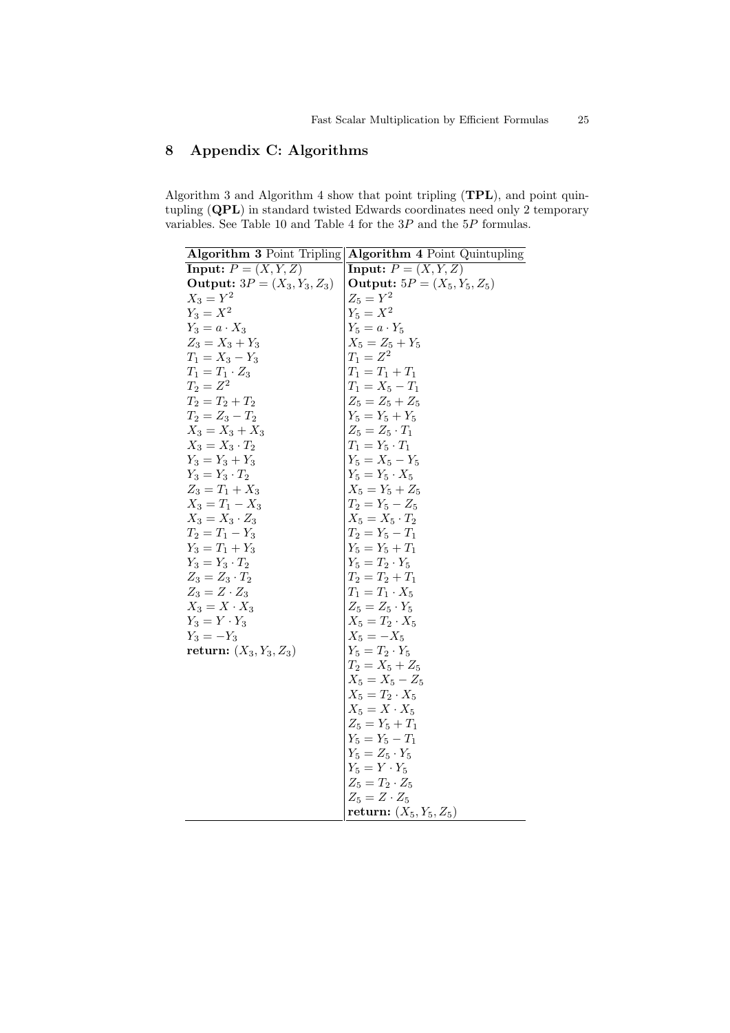# 8 Appendix C: Algorithms

Algorithm 3 and Algorithm 4 show that point tripling (TPL), and point quintupling (QPL) in standard twisted Edwards coordinates need only 2 temporary variables. See Table 10 and Table 4 for the 3P and the 5P formulas.

|                                       | Algorithm 3 Point Tripling   Algorithm 4 Point Quintupling                                                                                                                                                                                                                                                                          |
|---------------------------------------|-------------------------------------------------------------------------------------------------------------------------------------------------------------------------------------------------------------------------------------------------------------------------------------------------------------------------------------|
| <b>Input:</b> $P = (X, Y, Z)$         | <b>Input:</b> $P = (X, Y, Z)$                                                                                                                                                                                                                                                                                                       |
| <b>Output:</b> $3P = (X_3, Y_3, Z_3)$ | <b>Output:</b> $5P = (X_5, Y_5, Z_5)$                                                                                                                                                                                                                                                                                               |
| $X_3 = Y^2$                           | $Z_5 = Y^2$                                                                                                                                                                                                                                                                                                                         |
| $Y_3 = X^2$                           |                                                                                                                                                                                                                                                                                                                                     |
| $Y_3 = a \cdot X_3$                   |                                                                                                                                                                                                                                                                                                                                     |
| $Z_3 = X_3 + Y_3$                     |                                                                                                                                                                                                                                                                                                                                     |
| $T_1 = X_3 - Y_3$                     | $Y_5 = X^2$<br>$Y_5 = a \cdot Y_5$<br>$X_5 = Z_5 + Y_5$<br>$T_1 = Z^2$                                                                                                                                                                                                                                                              |
| $T_1 = T_1 \cdot Z_3$                 | $T_1 = T_1 + T_1$                                                                                                                                                                                                                                                                                                                   |
| $T_2 = Z^2$                           | $T_1 = X_5 - T_1$                                                                                                                                                                                                                                                                                                                   |
| $T_2 = T_2 + T_2$                     | $Z_5 = Z_5 + Z_5$                                                                                                                                                                                                                                                                                                                   |
| $T_2 = Z_3 - T_2$                     | $Z_5 = Z_5 + Z_5$<br>$Y_5 = Y_5 + Y_5$<br>$Z_5 = Z_5 \cdot T_1$<br>$T_1 = Y_5 \cdot T_1$<br>$Y_5 = X_5 - Y_5$<br>$Y_5 = Y_5 + Z_5$<br>$X_5 = Y_5 + Z_5$<br>$T_2 = Y_5 - Z_5$<br>$X_5 = X_5 \cdot T_2$<br>$T_2 = Y_5 - T_1$<br>$Y_5 = T_2 \cdot Y_5$<br>$T_2 = T_2 + T_1$<br>$Y_5 = T_2 \cdot Y_5$<br>$T_2 = T_2 + T_1$<br>$T_1 = T$ |
| $X_3 = X_3 + X_3$                     |                                                                                                                                                                                                                                                                                                                                     |
| $X_3 = X_3 \cdot T_2$                 |                                                                                                                                                                                                                                                                                                                                     |
| $Y_3 = Y_3 + Y_3$                     |                                                                                                                                                                                                                                                                                                                                     |
| $Y_3=Y_3\cdot T_2$                    |                                                                                                                                                                                                                                                                                                                                     |
| $Z_3 = T_1 + X_3$                     |                                                                                                                                                                                                                                                                                                                                     |
| $X_3 = T_1 - X_3$                     |                                                                                                                                                                                                                                                                                                                                     |
| $X_3 = X_3 \cdot Z_3$                 |                                                                                                                                                                                                                                                                                                                                     |
| $T_2 = T_1 - Y_3$                     |                                                                                                                                                                                                                                                                                                                                     |
| $Y_3 = T_1 + Y_3$                     |                                                                                                                                                                                                                                                                                                                                     |
| $Y_3 = Y_3 \cdot T_2$                 |                                                                                                                                                                                                                                                                                                                                     |
| $Z_3 = Z_3 \cdot T_2$                 |                                                                                                                                                                                                                                                                                                                                     |
| $Z_3 = Z \cdot Z_3$                   | $T_1 = T_1 \cdot X_5$                                                                                                                                                                                                                                                                                                               |
| $X_3 = X \cdot X_3$                   |                                                                                                                                                                                                                                                                                                                                     |
| $Y_3 = Y \cdot Y_3$                   |                                                                                                                                                                                                                                                                                                                                     |
| $Y_3 = -Y_3$                          |                                                                                                                                                                                                                                                                                                                                     |
| <b>return:</b> $(X_3, Y_3, Z_3)$      |                                                                                                                                                                                                                                                                                                                                     |
|                                       | $Z_5 = Z_5 \cdot Y_5$<br>$X_5 = T_2 \cdot X_5$<br>$X_5 = -X_5$<br>$Y_5 = T_2 \cdot Y_5$<br>$T_2 = X_5 + Z_5$<br>$T_2 = X_5 + Z_5$                                                                                                                                                                                                   |
|                                       | $X_5 = X_5 - Z_5$                                                                                                                                                                                                                                                                                                                   |
|                                       | $X_5=T_2\cdot X_5$                                                                                                                                                                                                                                                                                                                  |
|                                       | $X_5=X\cdot X_5$                                                                                                                                                                                                                                                                                                                    |
|                                       | $Z_5 = Y_5 + T_1$                                                                                                                                                                                                                                                                                                                   |
|                                       | $Y_5 = Y_5 - T_1$                                                                                                                                                                                                                                                                                                                   |
|                                       | $Y_5=Z_5\cdot Y_5$<br>$Y_5 = Y \cdot Y_5$                                                                                                                                                                                                                                                                                           |
|                                       |                                                                                                                                                                                                                                                                                                                                     |
|                                       | $Z_5 = T_2 \cdot Z_5$<br>$Z_5 = Z \cdot Z_5$                                                                                                                                                                                                                                                                                        |
|                                       | return: $(X_5, Y_5, Z_5)$                                                                                                                                                                                                                                                                                                           |
|                                       |                                                                                                                                                                                                                                                                                                                                     |